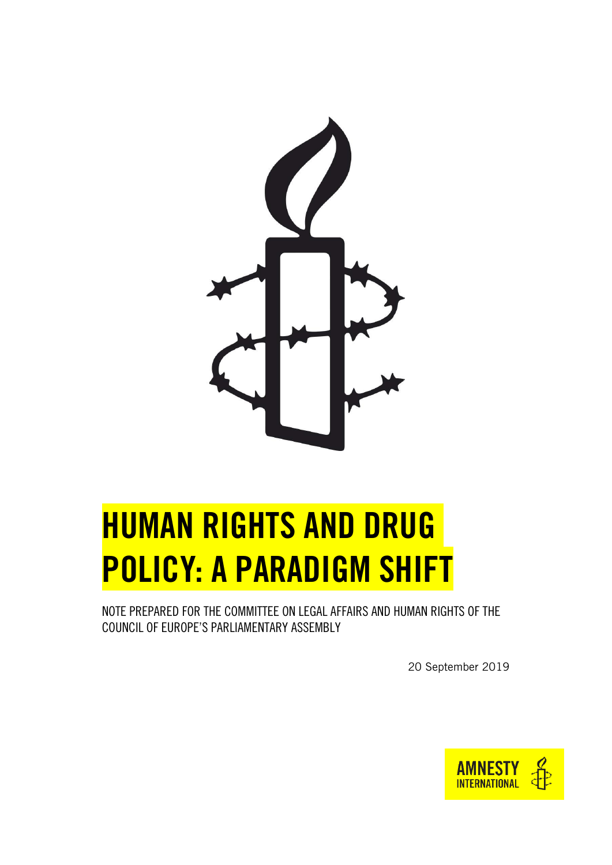

# <span id="page-0-0"></span>HUMAN RIGHTS AND DRUG POLICY: A PARADIGM SHIFT

<span id="page-0-1"></span>NOTE PREPARED FOR THE COMMITTEE ON LEGAL AFFAIRS AND HUMAN RIGHTS OF THE COUNCIL OF EUROPE'S PARLIAMENTARY ASSEMBLY

20 September 2019

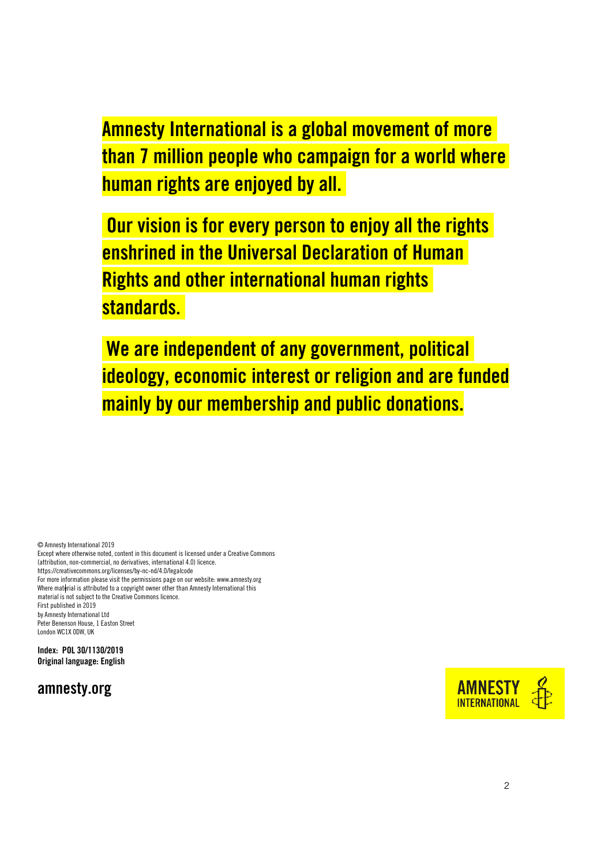Amnesty International is a global movement of more than 7 million people who campaign for a world where human rights are enjoyed by all.

Our vision is for every person to enjoy all the rights enshrined in the Universal Declaration of Human Rights and other international human rights standards.

We are independent of any government, political ideology, economic interest or religion and are funded mainly by our membership and public donations.

© Amnesty International 2019

Except where otherwise noted, content in this document is licensed under a Creative Commons (attribution, non-commercial, no derivatives, international 4.0) licence. <https://creativecommons.org/licenses/by-nc-nd/4.0/legalcode> For more information please visit the permissions page on our website[: www.amnesty.org](http://www.amnesty.org/) Where material is attributed to a copyright owner other than Amnesty International this material is not subject to the Creative Commons licence. First published in 2019 by Amnesty International Ltd Peter Benenson House, 1 Easton Street London WC1X 0DW, UK

Index: POL 30/1130/2019 Original language: English



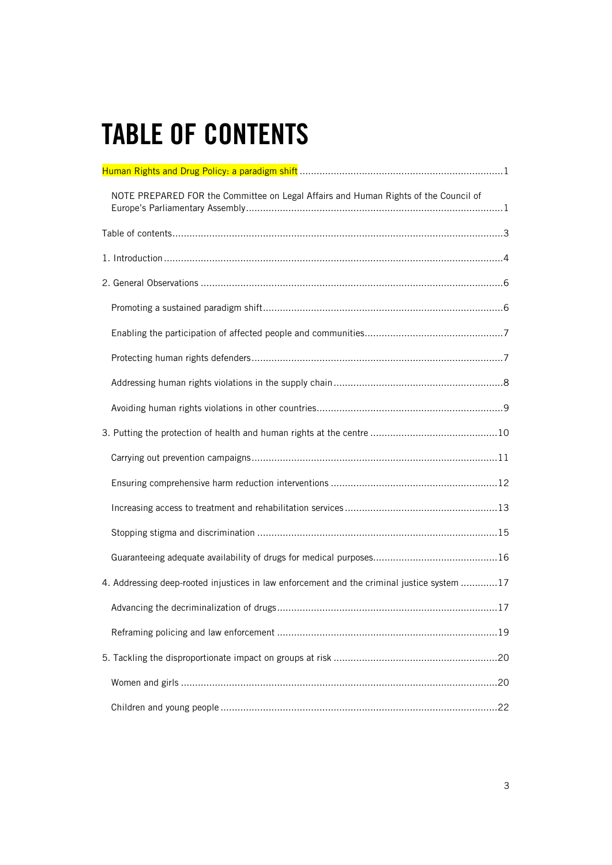# <span id="page-2-0"></span>TABLE OF CONTENTS

| NOTE PREPARED FOR the Committee on Legal Affairs and Human Rights of the Council of        |  |
|--------------------------------------------------------------------------------------------|--|
|                                                                                            |  |
|                                                                                            |  |
|                                                                                            |  |
|                                                                                            |  |
|                                                                                            |  |
|                                                                                            |  |
|                                                                                            |  |
|                                                                                            |  |
|                                                                                            |  |
|                                                                                            |  |
|                                                                                            |  |
|                                                                                            |  |
|                                                                                            |  |
|                                                                                            |  |
| 4. Addressing deep-rooted injustices in law enforcement and the criminal justice system 17 |  |
|                                                                                            |  |
|                                                                                            |  |
|                                                                                            |  |
|                                                                                            |  |
|                                                                                            |  |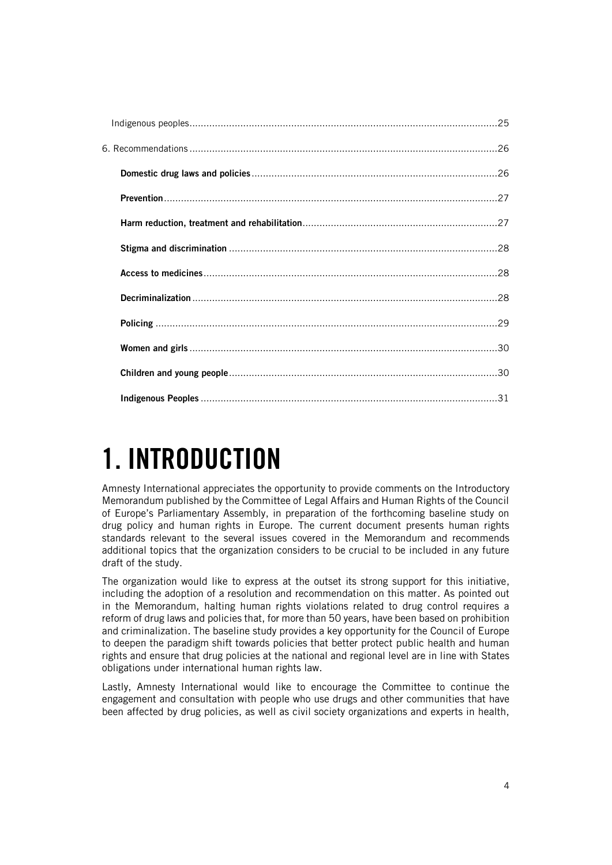# <span id="page-3-0"></span>1. INTRODUCTION

Amnesty International appreciates the opportunity to provide comments on the Introductory Memorandum published by the Committee of Legal Affairs and Human Rights of the Council of Europe's Parliamentary Assembly, in preparation of the forthcoming baseline study on drug policy and human rights in Europe. The current document presents human rights standards relevant to the several issues covered in the Memorandum and recommends additional topics that the organization considers to be crucial to be included in any future draft of the study.

The organization would like to express at the outset its strong support for this initiative, including the adoption of a resolution and recommendation on this matter. As pointed out in the Memorandum, halting human rights violations related to drug control requires a reform of drug laws and policies that, for more than 50 years, have been based on prohibition and criminalization. The baseline study provides a key opportunity for the Council of Europe to deepen the paradigm shift towards policies that better protect public health and human rights and ensure that drug policies at the national and regional level are in line with States obligations under international human rights law.

Lastly, Amnesty International would like to encourage the Committee to continue the engagement and consultation with people who use drugs and other communities that have been affected by drug policies, as well as civil society organizations and experts in health,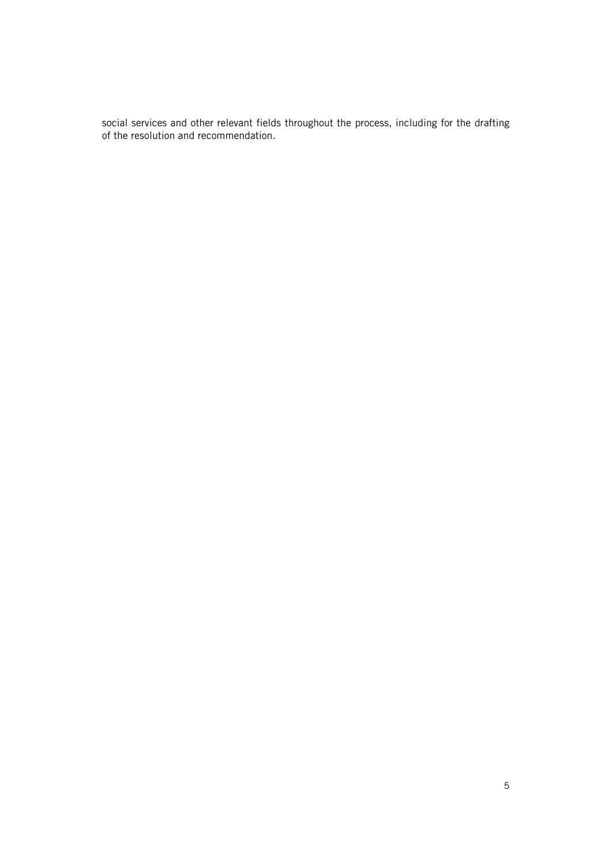social services and other relevant fields throughout the process, including for the drafting of the resolution and recommendation.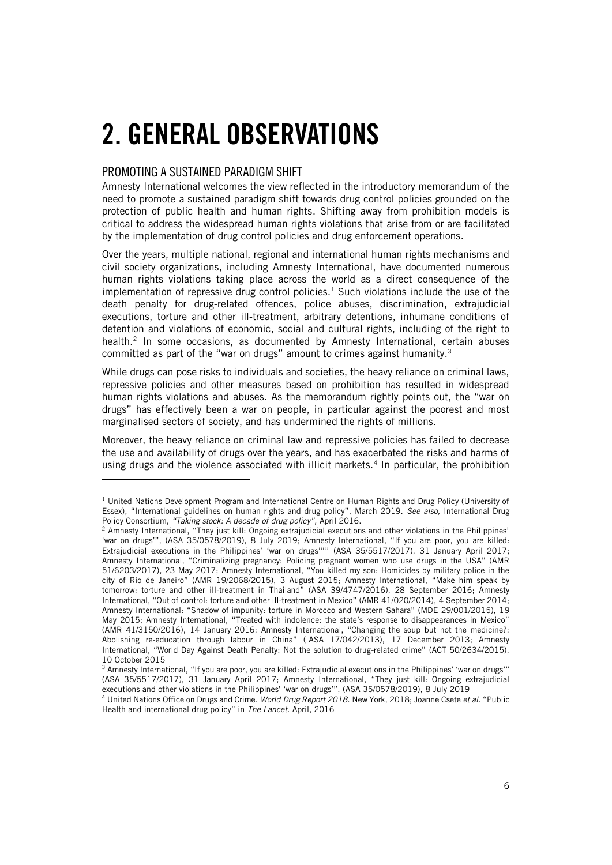# <span id="page-5-0"></span>2. GENERAL OBSERVATIONS

### <span id="page-5-1"></span>PROMOTING A SUSTAINED PARADIGM SHIFT

ł

Amnesty International welcomes the view reflected in the introductory memorandum of the need to promote a sustained paradigm shift towards drug control policies grounded on the protection of public health and human rights. Shifting away from prohibition models is critical to address the widespread human rights violations that arise from or are facilitated by the implementation of drug control policies and drug enforcement operations.

Over the years, multiple national, regional and international human rights mechanisms and civil society organizations, including Amnesty International, have documented numerous human rights violations taking place across the world as a direct consequence of the implementation of repressive drug control policies.<sup>1</sup> Such violations include the use of the death penalty for drug-related offences, police abuses, discrimination, extrajudicial executions, torture and other ill-treatment, arbitrary detentions, inhumane conditions of detention and violations of economic, social and cultural rights, including of the right to health. 2 In some occasions, as documented by Amnesty International, certain abuses committed as part of the "war on drugs" amount to crimes against humanity.<sup>3</sup>

While drugs can pose risks to individuals and societies, the heavy reliance on criminal laws, repressive policies and other measures based on prohibition has resulted in widespread human rights violations and abuses. As the memorandum rightly points out, the "war on drugs" has effectively been a war on people, in particular against the poorest and most marginalised sectors of society, and has undermined the rights of millions.

Moreover, the heavy reliance on criminal law and repressive policies has failed to decrease the use and availability of drugs over the years, and has exacerbated the risks and harms of using drugs and the violence associated with illicit markets.<sup>4</sup> In particular, the prohibition

 $1$  United Nations Development Program and International Centre on Human Rights and Drug Policy (University of Essex), "International guidelines on human rights and drug policy", March 2019. *See also,* International Drug Policy Consortium, *"Taking stock: A decade of drug policy",* April 2016.

<sup>2</sup> Amnesty International, "They just kill: Ongoing extrajudicial executions and other violations in the Philippines' 'war on drugs'", (ASA 35/0578/2019), 8 July 2019; Amnesty International, "If you are poor, you are killed: Extrajudicial executions in the Philippines' 'war on drugs'"" (ASA 35/5517/2017), 31 January April 2017; Amnesty International, "Criminalizing pregnancy: Policing pregnant women who use drugs in the USA" (AMR 51/6203/2017), 23 May 2017; Amnesty International, "You killed my son: Homicides by military police in the city of Rio de Janeiro" (AMR 19/2068/2015), 3 August 2015; Amnesty International, "Make him speak by tomorrow: torture and other ill-treatment in Thailand" (ASA 39/4747/2016), 28 September 2016; Amnesty International, "Out of control: torture and other ill-treatment in Mexico" (AMR 41/020/2014), 4 September 2014; Amnesty International: "Shadow of impunity: torture in Morocco and Western Sahara" (MDE 29/001/2015), 19 May 2015; Amnesty International, "Treated with indolence: the state's response to disappearances in Mexico" (AMR 41/3150/2016), 14 January 2016; Amnesty International, "Changing the soup but not the medicine?: Abolishing re-education through labour in China" ( ASA 17/042/2013), 17 December 2013; Amnesty International, "World Day Against Death Penalty: Not the solution to drug-related crime" (ACT 50/2634/2015), 10 October 2015

<sup>&</sup>lt;sup>3</sup> Amnesty International, "If you are poor, you are killed: Extrajudicial executions in the Philippines' 'war on drugs'" (ASA 35/5517/2017), 31 January April 2017; Amnesty International, "They just kill: Ongoing extrajudicial executions and other violations in the Philippines' 'war on drugs'", (ASA 35/0578/2019), 8 July 2019

<sup>4</sup> United Nations Office on Drugs and Crime. *World Drug Report 2018.* New York, 2018; Joanne Csete *et al.* "Public Health and international drug policy" in *The Lancet*. April, 2016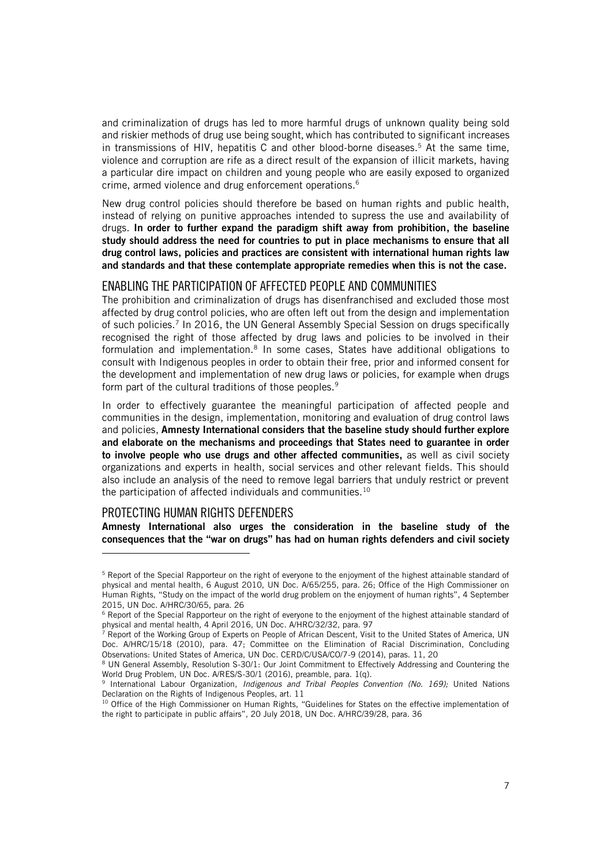and criminalization of drugs has led to more harmful drugs of unknown quality being sold and riskier methods of drug use being sought, which has contributed to significant increases in transmissions of HIV, hepatitis C and other blood-borne diseases.<sup>5</sup> At the same time, violence and corruption are rife as a direct result of the expansion of illicit markets, having a particular dire impact on children and young people who are easily exposed to organized crime, armed violence and drug enforcement operations.<sup>6</sup>

New drug control policies should therefore be based on human rights and public health, instead of relying on punitive approaches intended to supress the use and availability of drugs. In order to further expand the paradigm shift away from prohibition, the baseline study should address the need for countries to put in place mechanisms to ensure that all drug control laws, policies and practices are consistent with international human rights law and standards and that these contemplate appropriate remedies when this is not the case.

#### <span id="page-6-0"></span>ENABLING THE PARTICIPATION OF AFFECTED PEOPLE AND COMMUNITIES

The prohibition and criminalization of drugs has disenfranchised and excluded those most affected by drug control policies, who are often left out from the design and implementation of such policies.<sup>7</sup> In 2016, the UN General Assembly Special Session on drugs specifically recognised the right of those affected by drug laws and policies to be involved in their formulation and implementation.<sup>8</sup> In some cases, States have additional obligations to consult with Indigenous peoples in order to obtain their free, prior and informed consent for the development and implementation of new drug laws or policies, for example when drugs form part of the cultural traditions of those peoples.<sup>9</sup>

In order to effectively guarantee the meaningful participation of affected people and communities in the design, implementation, monitoring and evaluation of drug control laws and policies, Amnesty International considers that the baseline study should further explore and elaborate on the mechanisms and proceedings that States need to guarantee in order to involve people who use drugs and other affected communities, as well as civil society organizations and experts in health, social services and other relevant fields. This should also include an analysis of the need to remove legal barriers that unduly restrict or prevent the participation of affected individuals and communities.<sup>10</sup>

### <span id="page-6-1"></span>PROTECTING HUMAN RIGHTS DEFENDERS

j

Amnesty International also urges the consideration in the baseline study of the consequences that the "war on drugs" has had on human rights defenders and civil society

<sup>&</sup>lt;sup>5</sup> Report of the Special Rapporteur on the right of everyone to the enjoyment of the highest attainable standard of physical and mental health, 6 August 2010, UN Doc. A/65/255, para. 26; Office of the High Commissioner on Human Rights, "Study on the impact of the world drug problem on the enjoyment of human rights", 4 September 2015, UN Doc. A/HRC/30/65, para. 26

<sup>&</sup>lt;sup>6</sup> Report of the Special Rapporteur on the right of everyone to the enjoyment of the highest attainable standard of physical and mental health, 4 April 2016, UN Doc. A/HRC/32/32, para. 97

<sup>&</sup>lt;sup>7</sup> Report of the Working Group of Experts on People of African Descent, Visit to the United States of America, UN Doc. A/HRC/15/18 (2010), para. 47; Committee on the Elimination of Racial Discrimination, Concluding Observations: United States of America, UN Doc. CERD/C/USA/CO/7-9 (2014), paras. 11, 20

<sup>8</sup> UN General Assembly, Resolution S-30/1: Our Joint Commitment to Effectively Addressing and Countering the World Drug Problem, UN Doc. A/RES/S-30/1 (2016), preamble, para. 1(q).

<sup>9</sup> International Labour Organization, *Indigenous and Tribal Peoples Convention (No. 169);* United Nations Declaration on the Rights of Indigenous Peoples, art. 11

<sup>&</sup>lt;sup>10</sup> Office of the High Commissioner on Human Rights, "Guidelines for States on the effective implementation of the right to participate in public affairs", 20 July 2018, UN Doc. A/HRC/39/28, para. 36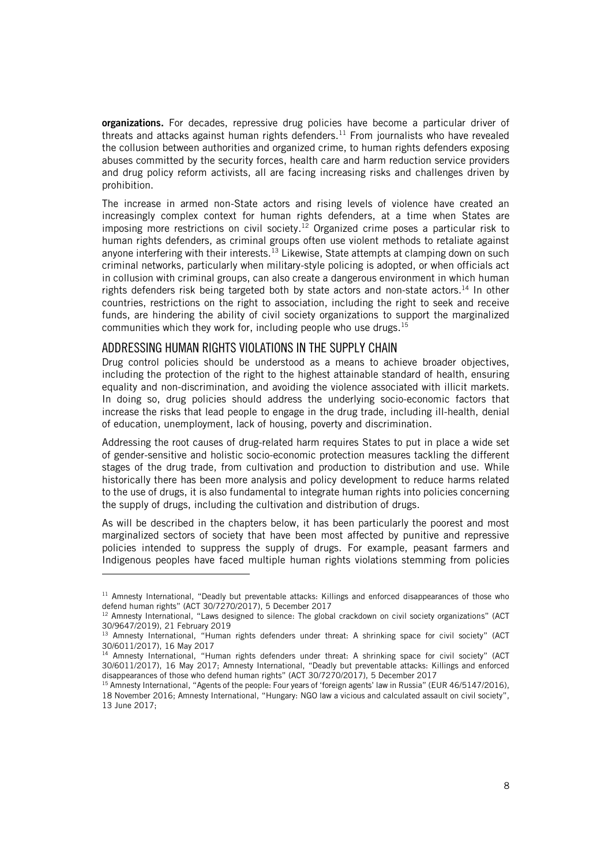organizations. For decades, repressive drug policies have become a particular driver of threats and attacks against human rights defenders.<sup>11</sup> From journalists who have revealed the collusion between authorities and organized crime, to human rights defenders exposing abuses committed by the security forces, health care and harm reduction service providers and drug policy reform activists, all are facing increasing risks and challenges driven by prohibition.

The increase in armed non-State actors and rising levels of violence have created an increasingly complex context for human rights defenders, at a time when States are imposing more restrictions on civil society. <sup>12</sup> Organized crime poses a particular risk to human rights defenders, as criminal groups often use violent methods to retaliate against anyone interfering with their interests.<sup>13</sup> Likewise, State attempts at clamping down on such criminal networks, particularly when military-style policing is adopted, or when officials act in collusion with criminal groups, can also create a dangerous environment in which human rights defenders risk being targeted both by state actors and non-state actors.<sup>14</sup> In other countries, restrictions on the right to association, including the right to seek and receive funds, are hindering the ability of civil society organizations to support the marginalized communities which they work for, including people who use drugs. 15

### <span id="page-7-0"></span>ADDRESSING HUMAN RIGHTS VIOLATIONS IN THE SUPPLY CHAIN

ł

Drug control policies should be understood as a means to achieve broader objectives, including the protection of the right to the highest attainable standard of health, ensuring equality and non-discrimination, and avoiding the violence associated with illicit markets. In doing so, drug policies should address the underlying socio-economic factors that increase the risks that lead people to engage in the drug trade, including ill-health, denial of education, unemployment, lack of housing, poverty and discrimination.

Addressing the root causes of drug-related harm requires States to put in place a wide set of gender-sensitive and holistic socio-economic protection measures tackling the different stages of the drug trade, from cultivation and production to distribution and use. While historically there has been more analysis and policy development to reduce harms related to the use of drugs, it is also fundamental to integrate human rights into policies concerning the supply of drugs, including the cultivation and distribution of drugs.

As will be described in the chapters below, it has been particularly the poorest and most marginalized sectors of society that have been most affected by punitive and repressive policies intended to suppress the supply of drugs. For example, peasant farmers and Indigenous peoples have faced multiple human rights violations stemming from policies

<sup>&</sup>lt;sup>11</sup> Amnesty International, "Deadly but preventable attacks: Killings and enforced disappearances of those who defend human rights" (ACT 30/7270/2017), 5 December 2017

<sup>12</sup> Amnesty International, "Laws designed to silence: The global crackdown on civil society organizations" (ACT 30/9647/2019), 21 February 2019

<sup>13</sup> Amnesty International, "Human rights defenders under threat: A shrinking space for civil society" (ACT 30/6011/2017), 16 May 2017

<sup>&</sup>lt;sup>14</sup> Amnesty International, "Human rights defenders under threat: A shrinking space for civil society" (ACT 30/6011/2017), 16 May 2017; Amnesty International, "Deadly but preventable attacks: Killings and enforced disappearances of those who defend human rights" (ACT 30/7270/2017), 5 December 2017

<sup>&</sup>lt;sup>15</sup> Amnesty International, "Agents of the people: Four years of 'foreign agents' law in Russia" (EUR 46/5147/2016), 18 November 2016; Amnesty International, "Hungary: NGO law a vicious and calculated assault on civil society", 13 June 2017;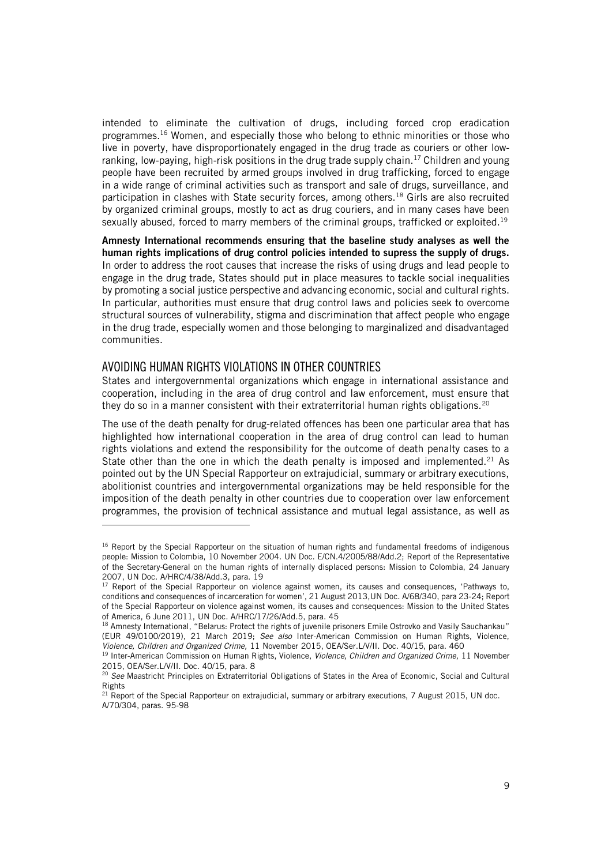intended to eliminate the cultivation of drugs, including forced crop eradication programmes.<sup>16</sup> Women, and especially those who belong to ethnic minorities or those who live in poverty, have disproportionately engaged in the drug trade as couriers or other lowranking, low-paying, high-risk positions in the drug trade supply chain.<sup>17</sup> Children and young people have been recruited by armed groups involved in drug trafficking, forced to engage in a wide range of criminal activities such as transport and sale of drugs, surveillance, and participation in clashes with State security forces, among others.<sup>18</sup> Girls are also recruited by organized criminal groups, mostly to act as drug couriers, and in many cases have been sexually abused, forced to marry members of the criminal groups, trafficked or exploited.<sup>19</sup>

Amnesty International recommends ensuring that the baseline study analyses as well the human rights implications of drug control policies intended to supress the supply of drugs. In order to address the root causes that increase the risks of using drugs and lead people to engage in the drug trade, States should put in place measures to tackle social inequalities by promoting a social justice perspective and advancing economic, social and cultural rights. In particular, authorities must ensure that drug control laws and policies seek to overcome structural sources of vulnerability, stigma and discrimination that affect people who engage in the drug trade, especially women and those belonging to marginalized and disadvantaged communities.

### <span id="page-8-0"></span>AVOIDING HUMAN RIGHTS VIOLATIONS IN OTHER COUNTRIES

ł

States and intergovernmental organizations which engage in international assistance and cooperation, including in the area of drug control and law enforcement, must ensure that they do so in a manner consistent with their extraterritorial human rights obligations.<sup>20</sup>

The use of the death penalty for drug-related offences has been one particular area that has highlighted how international cooperation in the area of drug control can lead to human rights violations and extend the responsibility for the outcome of death penalty cases to a State other than the one in which the death penalty is imposed and implemented.<sup>21</sup> As pointed out by the UN Special Rapporteur on extrajudicial, summary or arbitrary executions, abolitionist countries and intergovernmental organizations may be held responsible for the imposition of the death penalty in other countries due to cooperation over law enforcement programmes, the provision of technical assistance and mutual legal assistance, as well as

<sup>&</sup>lt;sup>16</sup> Report by the Special Rapporteur on the situation of human rights and fundamental freedoms of indigenous people: Mission to Colombia, 10 November 2004. UN Doc. E/CN.4/2005/88/Add.2; Report of the Representative of the Secretary-General on the human rights of internally displaced persons: Mission to Colombia, 24 January 2007, UN Doc. A/HRC/4/38/Add.3, para. 19

<sup>&</sup>lt;sup>17</sup> Report of the Special Rapporteur on violence against women, its causes and consequences, 'Pathways to, conditions and consequences of incarceration for women', 21 August 2013,UN Doc. A/68/340, para 23-24; Report of the Special Rapporteur on violence against women, its causes and consequences: Mission to the United States of America, 6 June 2011, UN Doc. A/HRC/17/26/Add.5, para. 45

<sup>&</sup>lt;sup>18</sup> Amnesty International, "Belarus: Protect the rights of juvenile prisoners Emile Ostrovko and Vasily Sauchankau" (EUR 49/0100/2019), 21 March 2019; *See also* Inter-American Commission on Human Rights, Violence, *Violence, Children and Organized Crime,* 11 November 2015, OEA/Ser.L/V/II. Doc. 40/15, para. 460

<sup>19</sup> Inter-American Commission on Human Rights, Violence, *Violence, Children and Organized Crime,* 11 November 2015, OEA/Ser.L/V/II. Doc. 40/15, para. 8

<sup>20</sup> *See* Maastricht Principles on Extraterritorial Obligations of States in the Area of Economic, Social and Cultural Rights

<sup>&</sup>lt;sup>21</sup> Report of the Special Rapporteur on extrajudicial, summary or arbitrary executions, 7 August 2015, UN doc. A/70/304, paras. 95-98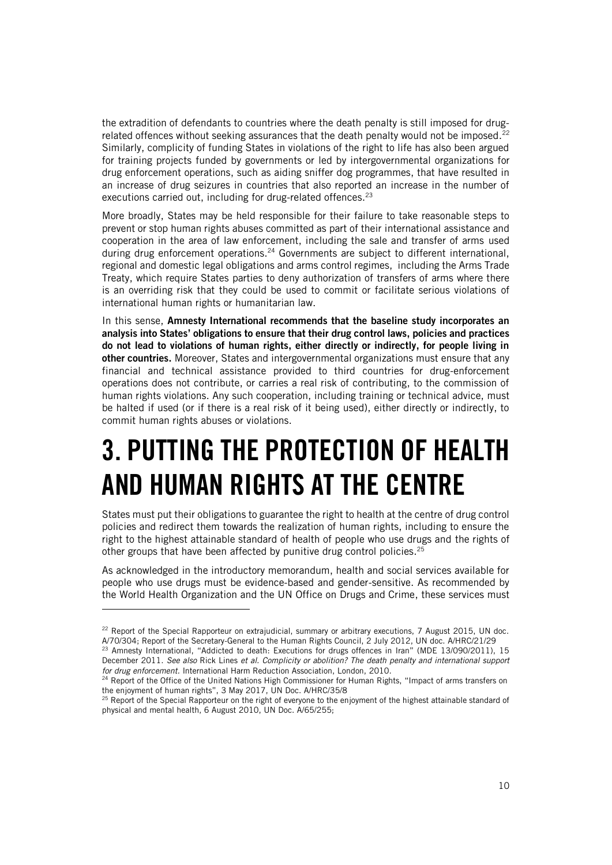the extradition of defendants to countries where the death penalty is still imposed for drugrelated offences without seeking assurances that the death penalty would not be imposed.<sup>22</sup> Similarly, complicity of funding States in violations of the right to life has also been argued for training projects funded by governments or led by intergovernmental organizations for drug enforcement operations, such as aiding sniffer dog programmes, that have resulted in an increase of drug seizures in countries that also reported an increase in the number of executions carried out, including for drug-related offences.<sup>23</sup>

More broadly, States may be held responsible for their failure to take reasonable steps to prevent or stop human rights abuses committed as part of their international assistance and cooperation in the area of law enforcement, including the sale and transfer of arms used during drug enforcement operations.<sup>24</sup> Governments are subject to different international, regional and domestic legal obligations and arms control regimes, including the Arms Trade Treaty, which require States parties to deny authorization of transfers of arms where there is an overriding risk that they could be used to commit or facilitate serious violations of international human rights or humanitarian law.

In this sense, Amnesty International recommends that the baseline study incorporates an analysis into States' obligations to ensure that their drug control laws, policies and practices do not lead to violations of human rights, either directly or indirectly, for people living in other countries. Moreover, States and intergovernmental organizations must ensure that any financial and technical assistance provided to third countries for drug-enforcement operations does not contribute, or carries a real risk of contributing, to the commission of human rights violations. Any such cooperation, including training or technical advice, must be halted if used (or if there is a real risk of it being used), either directly or indirectly, to commit human rights abuses or violations.

# <span id="page-9-0"></span>3. PUTTING THE PROTECTION OF HEALTH AND HUMAN RIGHTS AT THE CENTRE

States must put their obligations to guarantee the right to health at the centre of drug control policies and redirect them towards the realization of human rights, including to ensure the right to the highest attainable standard of health of people who use drugs and the rights of other groups that have been affected by punitive drug control policies.<sup>25</sup>

As acknowledged in the introductory memorandum, health and social services available for people who use drugs must be evidence-based and gender-sensitive. As recommended by the World Health Organization and the UN Office on Drugs and Crime, these services must

<sup>&</sup>lt;sup>22</sup> Report of the Special Rapporteur on extrajudicial, summary or arbitrary executions, 7 August 2015, UN doc. A/70/304; Report of the Secretary-General to the Human Rights Council, 2 July 2012, UN doc. A/HRC/21/29

<sup>23</sup> Amnesty International, "Addicted to death: Executions for drugs offences in Iran" (MDE 13/090/2011), 15 December 2011. *See also* Rick Lines *et al. Complicity or abolition? The death penalty and international support for drug enforcement.* International Harm Reduction Association, London, 2010.

<sup>&</sup>lt;sup>24</sup> Report of the Office of the United Nations High Commissioner for Human Rights, "Impact of arms transfers on the enjoyment of human rights", 3 May 2017, UN Doc. A/HRC/35/8

<sup>&</sup>lt;sup>25</sup> Report of the Special Rapporteur on the right of everyone to the enjoyment of the highest attainable standard of physical and mental health, 6 August 2010, UN Doc. A/65/255;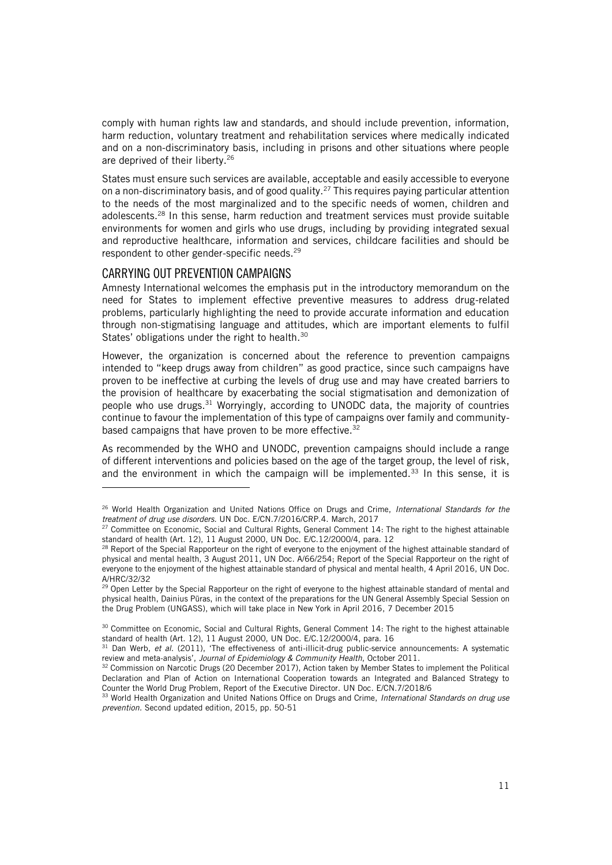comply with human rights law and standards, and should include prevention, information, harm reduction, voluntary treatment and rehabilitation services where medically indicated and on a non-discriminatory basis, including in prisons and other situations where people are deprived of their liberty.<sup>26</sup>

States must ensure such services are available, acceptable and easily accessible to everyone on a non-discriminatory basis, and of good quality.<sup>27</sup> This requires paying particular attention to the needs of the most marginalized and to the specific needs of women, children and adolescents.<sup>28</sup> In this sense, harm reduction and treatment services must provide suitable environments for women and girls who use drugs, including by providing integrated sexual and reproductive healthcare, information and services, childcare facilities and should be respondent to other gender-specific needs.<sup>29</sup>

### <span id="page-10-0"></span>CARRYING OUT PREVENTION CAMPAIGNS

ł

Amnesty International welcomes the emphasis put in the introductory memorandum on the need for States to implement effective preventive measures to address drug-related problems, particularly highlighting the need to provide accurate information and education through non-stigmatising language and attitudes, which are important elements to fulfil States' obligations under the right to health.<sup>30</sup>

However, the organization is concerned about the reference to prevention campaigns intended to "keep drugs away from children" as good practice, since such campaigns have proven to be ineffective at curbing the levels of drug use and may have created barriers to the provision of healthcare by exacerbating the social stigmatisation and demonization of people who use drugs.<sup>31</sup> Worryingly, according to UNODC data, the majority of countries continue to favour the implementation of this type of campaigns over family and communitybased campaigns that have proven to be more effective. 32

As recommended by the WHO and UNODC, prevention campaigns should include a range of different interventions and policies based on the age of the target group, the level of risk, and the environment in which the campaign will be implemented.<sup>33</sup> In this sense, it is

<sup>26</sup> World Health Organization and United Nations Office on Drugs and Crime, *International Standards for the treatment of drug use disorders.* UN Doc. E/CN.7/2016/CRP.4. March, 2017

<sup>&</sup>lt;sup>27</sup> Committee on Economic, Social and Cultural Rights, General Comment 14: The right to the highest attainable standard of health (Art. 12), 11 August 2000, UN Doc. E/C.12/2000/4, para. 12

<sup>&</sup>lt;sup>28</sup> Report of the Special Rapporteur on the right of everyone to the enjoyment of the highest attainable standard of physical and mental health, 3 August 2011, UN Doc. A/66/254; Report of the Special Rapporteur on the right of everyone to the enjoyment of the highest attainable standard of physical and mental health, 4 April 2016, UN Doc. A/HRC/32/32

<sup>&</sup>lt;sup>29</sup> Open Letter by the Special Rapporteur on the right of everyone to the highest attainable standard of mental and physical health, Dainius Pūras, in the context of the preparations for the UN General Assembly Special Session on the Drug Problem (UNGASS), which will take place in New York in April 2016, 7 December 2015

<sup>30</sup> Committee on Economic, Social and Cultural Rights, General Comment 14: The right to the highest attainable standard of health (Art. 12), 11 August 2000, UN Doc. E/C.12/2000/4, para. 16

<sup>31</sup> Dan Werb, *et al*. (2011), 'The effectiveness of anti-illicit-drug public-service announcements: A systematic review and meta-analysis', *Journal of Epidemiology & Community Health*, October 2011.

<sup>32</sup> Commission on Narcotic Drugs (20 December 2017), Action taken by Member States to implement the Political Declaration and Plan of Action on International Cooperation towards an Integrated and Balanced Strategy to Counter the World Drug Problem, Report of the Executive Director. UN Doc. E/CN.7/2018/6

<sup>33</sup> World Health Organization and United Nations Office on Drugs and Crime, *International Standards on drug use prevention.* Second updated edition, 2015, pp. 50-51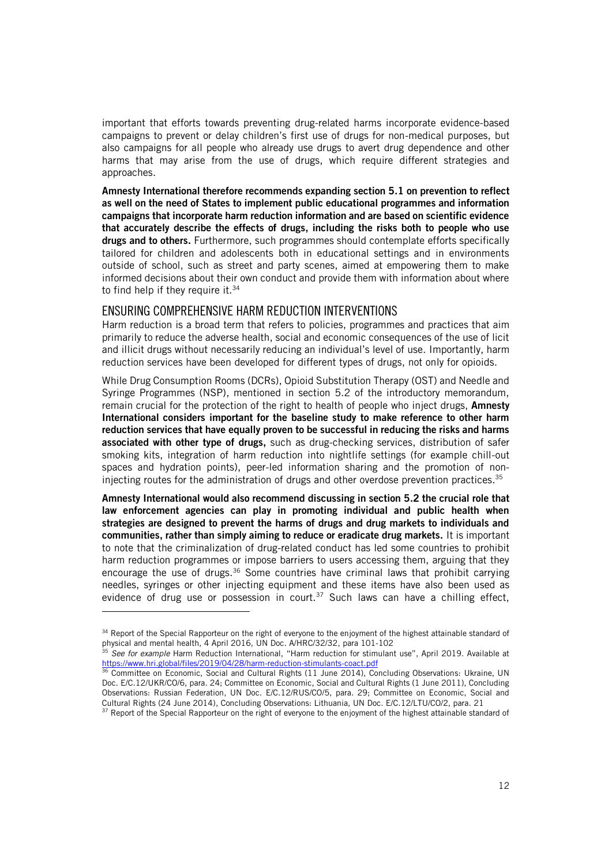important that efforts towards preventing drug-related harms incorporate evidence-based campaigns to prevent or delay children's first use of drugs for non-medical purposes, but also campaigns for all people who already use drugs to avert drug dependence and other harms that may arise from the use of drugs, which require different strategies and approaches.

Amnesty International therefore recommends expanding section 5.1 on prevention to reflect as well on the need of States to implement public educational programmes and information campaigns that incorporate harm reduction information and are based on scientific evidence that accurately describe the effects of drugs, including the risks both to people who use drugs and to others. Furthermore, such programmes should contemplate efforts specifically tailored for children and adolescents both in educational settings and in environments outside of school, such as street and party scenes, aimed at empowering them to make informed decisions about their own conduct and provide them with information about where to find help if they require it.  $34$ 

### <span id="page-11-0"></span>ENSURING COMPREHENSIVE HARM REDUCTION INTERVENTIONS

j

Harm reduction is a broad term that refers to policies, programmes and practices that aim primarily to reduce the adverse health, social and economic consequences of the use of licit and illicit drugs without necessarily reducing an individual's level of use. Importantly, harm reduction services have been developed for different types of drugs, not only for opioids.

While Drug Consumption Rooms (DCRs), Opioid Substitution Therapy (OST) and Needle and Syringe Programmes (NSP), mentioned in section 5.2 of the introductory memorandum, remain crucial for the protection of the right to health of people who inject drugs, **Amnesty** International considers important for the baseline study to make reference to other harm reduction services that have equally proven to be successful in reducing the risks and harms associated with other type of drugs, such as drug-checking services, distribution of safer smoking kits, integration of harm reduction into nightlife settings (for example chill-out spaces and hydration points), peer-led information sharing and the promotion of noninjecting routes for the administration of drugs and other overdose prevention practices. 35

Amnesty International would also recommend discussing in section 5.2 the crucial role that law enforcement agencies can play in promoting individual and public health when strategies are designed to prevent the harms of drugs and drug markets to individuals and communities, rather than simply aiming to reduce or eradicate drug markets. It is important to note that the criminalization of drug-related conduct has led some countries to prohibit harm reduction programmes or impose barriers to users accessing them, arguing that they encourage the use of drugs.<sup>36</sup> Some countries have criminal laws that prohibit carrying needles, syringes or other injecting equipment and these items have also been used as evidence of drug use or possession in court.<sup>37</sup> Such laws can have a chilling effect,

<sup>34</sup> Report of the Special Rapporteur on the right of everyone to the enjoyment of the highest attainable standard of physical and mental health, 4 April 2016, UN Doc. A/HRC/32/32, para 101-102

<sup>35</sup> *See for example* Harm Reduction International, "Harm reduction for stimulant use", April 2019. Available at <https://www.hri.global/files/2019/04/28/harm-reduction-stimulants-coact.pdf>

<sup>&</sup>lt;sup>36</sup> Committee on Economic, Social and Cultural Rights (11 June 2014), Concluding Observations: Ukraine, UN Doc. E/C.12/UKR/CO/6, para. 24; Committee on Economic, Social and Cultural Rights (1 June 2011), Concluding Observations: Russian Federation, UN Doc. E/C.12/RUS/CO/5, para. 29; Committee on Economic, Social and Cultural Rights (24 June 2014), Concluding Observations: Lithuania, UN Doc. E/C.12/LTU/CO/2, para. 21

<sup>&</sup>lt;sup>37</sup> Report of the Special Rapporteur on the right of everyone to the enjoyment of the highest attainable standard of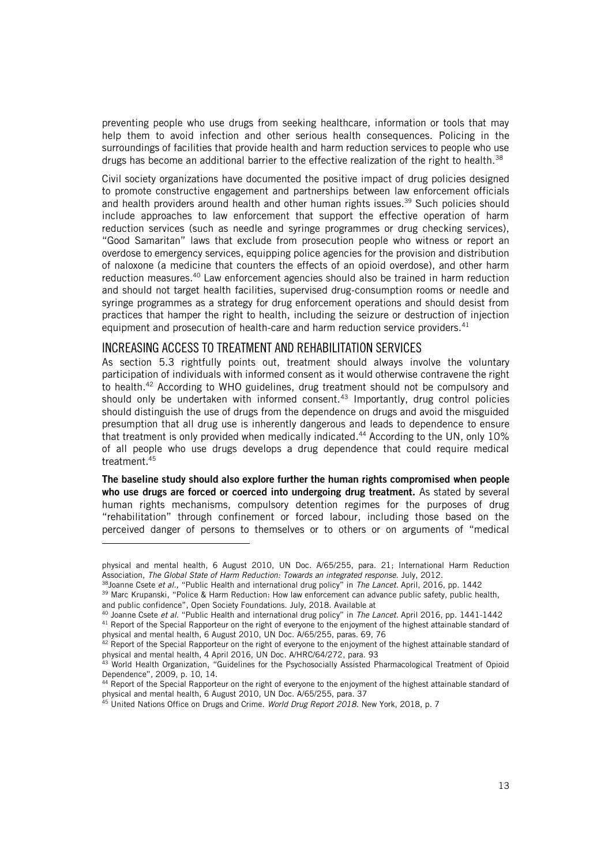preventing people who use drugs from seeking healthcare, information or tools that may help them to avoid infection and other serious health consequences. Policing in the surroundings of facilities that provide health and harm reduction services to people who use drugs has become an additional barrier to the effective realization of the right to health.<sup>38</sup>

Civil society organizations have documented the positive impact of drug policies designed to promote constructive engagement and partnerships between law enforcement officials and health providers around health and other human rights issues.<sup>39</sup> Such policies should include approaches to law enforcement that support the effective operation of harm reduction services (such as needle and syringe programmes or drug checking services), "Good Samaritan" laws that exclude from prosecution people who witness or report an overdose to emergency services, equipping police agencies for the provision and distribution of naloxone (a medicine that counters the effects of an opioid overdose), and other harm reduction measures.<sup>40</sup> Law enforcement agencies should also be trained in harm reduction and should not target health facilities, supervised drug-consumption rooms or needle and syringe programmes as a strategy for drug enforcement operations and should desist from practices that hamper the right to health, including the seizure or destruction of injection equipment and prosecution of health-care and harm reduction service providers. $41$ 

### <span id="page-12-0"></span>INCREASING ACCESS TO TREATMENT AND REHABILITATION SERVICES

ł

As section 5.3 rightfully points out, treatment should always involve the voluntary participation of individuals with informed consent as it would otherwise contravene the right to health. <sup>42</sup> According to WHO guidelines, drug treatment should not be compulsory and should only be undertaken with informed consent.<sup>43</sup> Importantly, drug control policies should distinguish the use of drugs from the dependence on drugs and avoid the misguided presumption that all drug use is inherently dangerous and leads to dependence to ensure that treatment is only provided when medically indicated. <sup>44</sup> According to the UN, only 10% of all people who use drugs develops a drug dependence that could require medical treatment.<sup>45</sup>

The baseline study should also explore further the human rights compromised when people who use drugs are forced or coerced into undergoing drug treatment. As stated by several human rights mechanisms, compulsory detention regimes for the purposes of drug "rehabilitation" through confinement or forced labour, including those based on the perceived danger of persons to themselves or to others or on arguments of "medical

physical and mental health, 6 August 2010, UN Doc. A/65/255, para. 21; International Harm Reduction Association, *The Global State of Harm Reduction: Towards an integrated response.* July, 2012.

<sup>38</sup>Joanne Csete *et al.,* "Public Health and international drug policy" in *The Lancet*. April, 2016, pp. 1442

<sup>&</sup>lt;sup>39</sup> Marc Krupanski, "Police & Harm Reduction: How law enforcement can advance public safety, public health, and public confidence", Open Society Foundations. July, 2018. Available at

<sup>40</sup> Joanne Csete *et al.* "Public Health and international drug policy" in *The Lancet*. April 2016, pp. 1441-1442

<sup>41</sup> Report of the Special Rapporteur on the right of everyone to the enjoyment of the highest attainable standard of physical and mental health, 6 August 2010, UN Doc. A/65/255, paras. 69, 76

 $42$  Report of the Special Rapporteur on the right of everyone to the enjoyment of the highest attainable standard of physical and mental health, 4 April 2016, UN Doc. A/HRC/64/272, para. 93

<sup>&</sup>lt;sup>43</sup> World Health Organization, "Guidelines for the Psychosocially Assisted Pharmacological Treatment of Opioid Dependence", 2009, p. 10, 14.

<sup>&</sup>lt;sup>44</sup> Report of the Special Rapporteur on the right of everyone to the enjoyment of the highest attainable standard of physical and mental health, 6 August 2010, UN Doc. A/65/255, para. 37

<sup>45</sup> United Nations Office on Drugs and Crime. *World Drug Report 2018.* New York, 2018, p. 7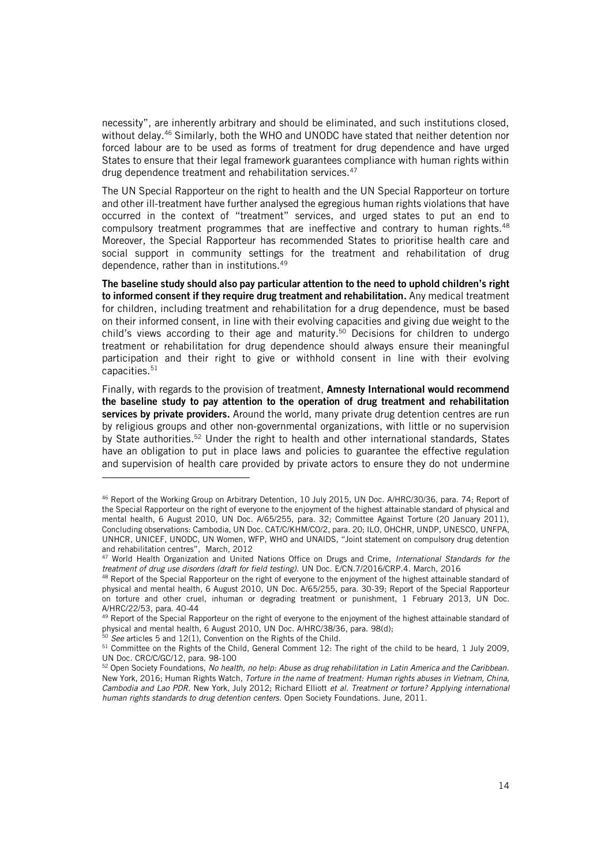necessity", are inherently arbitrary and should be eliminated, and such institutions closed, without delay.<sup>46</sup> Similarly, both the WHO and UNODC have stated that neither detention nor forced labour are to be used as forms of treatment for drug dependence and have urged States to ensure that their legal framework guarantees compliance with human rights within drug dependence treatment and rehabilitation services.<sup>47</sup>

The UN Special Rapporteur on the right to health and the UN Special Rapporteur on torture and other ill-treatment have further analysed the egregious human rights violations that have occurred in the context of "treatment" services, and urged states to put an end to compulsory treatment programmes that are ineffective and contrary to human rights.<sup>48</sup> Moreover, the Special Rapporteur has recommended States to prioritise health care and social support in community settings for the treatment and rehabilitation of drug dependence, rather than in institutions.<sup>49</sup>

The baseline study should also pay particular attention to the need to uphold children's right to informed consent if they require drug treatment and rehabilitation. Any medical treatment for children, including treatment and rehabilitation for a drug dependence, must be based on their informed consent, in line with their evolving capacities and giving due weight to the child's views according to their age and maturity. <sup>50</sup> Decisions for children to undergo treatment or rehabilitation for drug dependence should always ensure their meaningful participation and their right to give or withhold consent in line with their evolving capacities.<sup>51</sup>

Finally, with regards to the provision of treatment, Amnesty International would recommend the baseline study to pay attention to the operation of drug treatment and rehabilitation services by private providers. Around the world, many private drug detention centres are run by religious groups and other non-governmental organizations, with little or no supervision by State authorities.<sup>52</sup> Under the right to health and other international standards, States have an obligation to put in place laws and policies to guarantee the effective regulation and supervision of health care provided by private actors to ensure they do not undermine

<sup>46</sup> Report of the Working Group on Arbitrary Detention, 10 July 2015, UN Doc. A/HRC/30/36, para. 74; Report of the Special Rapporteur on the right of everyone to the enjoyment of the highest attainable standard of physical and mental health, 6 August 2010, UN Doc. A/65/255, para. 32; Committee Against Torture (20 January 2011), Concluding observations: Cambodia, UN Doc. CAT/C/KHM/CO/2, para. 20; ILO, OHCHR, UNDP, UNESCO, UNFPA, UNHCR, UNICEF, UNODC, UN Women, WFP, WHO and UNAIDS, "Joint statement on compulsory drug detention and rehabilitation centres", March, 2012

<sup>47</sup> World Health Organization and United Nations Office on Drugs and Crime, *International Standards for the treatment of drug use disorders (draft for field testing).* UN Doc. E/CN.7/2016/CRP.4. March, 2016

<sup>&</sup>lt;sup>48</sup> Report of the Special Rapporteur on the right of everyone to the enjoyment of the highest attainable standard of physical and mental health, 6 August 2010, UN Doc. A/65/255, para. 30-39; Report of the Special Rapporteur on torture and other cruel, inhuman or degrading treatment or punishment, 1 February 2013, UN Doc. A/HRC/22/53, para. 40-44

<sup>&</sup>lt;sup>49</sup> Report of the Special Rapporteur on the right of everyone to the enjoyment of the highest attainable standard of physical and mental health, 6 August 2010, UN Doc. A/HRC/38/36, para. 98(d);

<sup>50</sup> *See* articles 5 and 12(1), Convention on the Rights of the Child.

<sup>&</sup>lt;sup>51</sup> Committee on the Rights of the Child, General Comment 12: The right of the child to be heard, 1 July 2009, UN Doc. CRC/C/GC/12, para. 98-100

<sup>52</sup> Open Society Foundations, *No health, no help: Abuse as drug rehabilitation in Latin America and the Caribbean.*  New York, 2016; Human Rights Watch, *Torture in the name of treatment: Human rights abuses in Vietnam, China, Cambodia and Lao PDR.* New York, July 2012; Richard Elliott *et al. Treatment or torture? Applying international human rights standards to drug detention centers.* Open Society Foundations. June, 2011.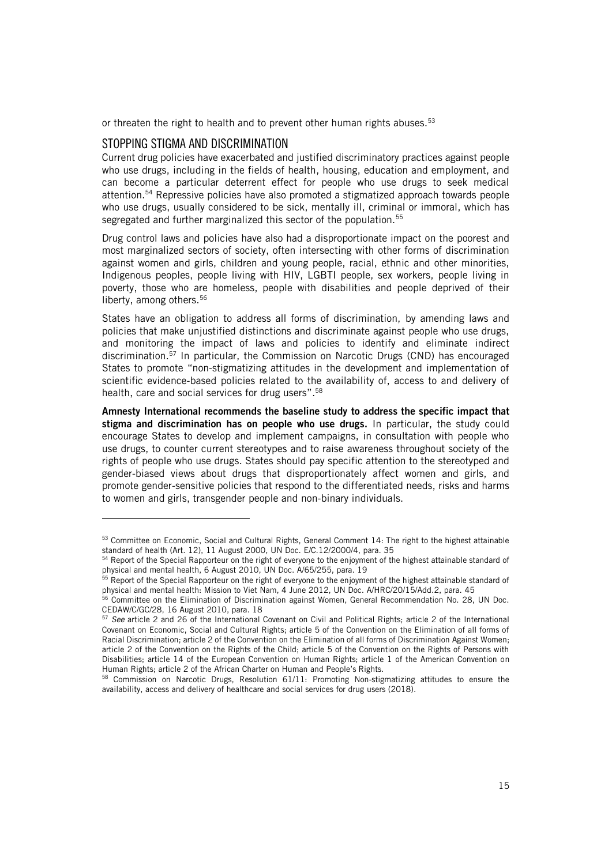or threaten the right to health and to prevent other human rights abuses.<sup>53</sup>

### <span id="page-14-0"></span>STOPPING STIGMA AND DISCRIMINATION

ł

Current drug policies have exacerbated and justified discriminatory practices against people who use drugs, including in the fields of health, housing, education and employment, and can become a particular deterrent effect for people who use drugs to seek medical attention. <sup>54</sup> Repressive policies have also promoted a stigmatized approach towards people who use drugs, usually considered to be sick, mentally ill, criminal or immoral, which has segregated and further marginalized this sector of the population.<sup>55</sup>

Drug control laws and policies have also had a disproportionate impact on the poorest and most marginalized sectors of society, often intersecting with other forms of discrimination against women and girls, children and young people, racial, ethnic and other minorities, Indigenous peoples, people living with HIV, LGBTI people, sex workers, people living in poverty, those who are homeless, people with disabilities and people deprived of their liberty, among others.<sup>56</sup>

States have an obligation to address all forms of discrimination, by amending laws and policies that make unjustified distinctions and discriminate against people who use drugs, and monitoring the impact of laws and policies to identify and eliminate indirect discrimination. <sup>57</sup> In particular, the Commission on Narcotic Drugs (CND) has encouraged States to promote "non-stigmatizing attitudes in the development and implementation of scientific evidence-based policies related to the availability of, access to and delivery of health, care and social services for drug users". 58

Amnesty International recommends the baseline study to address the specific impact that stigma and discrimination has on people who use drugs. In particular, the study could encourage States to develop and implement campaigns, in consultation with people who use drugs, to counter current stereotypes and to raise awareness throughout society of the rights of people who use drugs. States should pay specific attention to the stereotyped and gender-biased views about drugs that disproportionately affect women and girls, and promote gender-sensitive policies that respond to the differentiated needs, risks and harms to women and girls, transgender people and non-binary individuals.

<sup>53</sup> Committee on Economic, Social and Cultural Rights, General Comment 14: The right to the highest attainable standard of health (Art. 12), 11 August 2000, UN Doc. E/C.12/2000/4, para. 35

<sup>&</sup>lt;sup>54</sup> Report of the Special Rapporteur on the right of everyone to the enjoyment of the highest attainable standard of physical and mental health, 6 August 2010, UN Doc. A/65/255, para. 19

<sup>&</sup>lt;sup>55</sup> Report of the Special Rapporteur on the right of everyone to the enjoyment of the highest attainable standard of physical and mental health: Mission to Viet Nam, 4 June 2012, UN Doc. A/HRC/20/15/Add.2, para. 45

<sup>&</sup>lt;sup>56</sup> Committee on the Elimination of Discrimination against Women, General Recommendation No. 28, UN Doc. CEDAW/C/GC/28, 16 August 2010, para. 18

<sup>57</sup> *See* article 2 and 26 of the International Covenant on Civil and Political Rights; article 2 of the International Covenant on Economic, Social and Cultural Rights; article 5 of the Convention on the Elimination of all forms of Racial Discrimination; article 2 of the Convention on the Elimination of all forms of Discrimination Against Women; article 2 of the Convention on the Rights of the Child; article 5 of the Convention on the Rights of Persons with Disabilities; article 14 of the European Convention on Human Rights; article 1 of the American Convention on Human Rights; article 2 of the African Charter on Human and People's Rights.

<sup>58</sup> Commission on Narcotic Drugs, Resolution 61/11: Promoting Non-stigmatizing attitudes to ensure the availability, access and delivery of healthcare and social services for drug users (2018).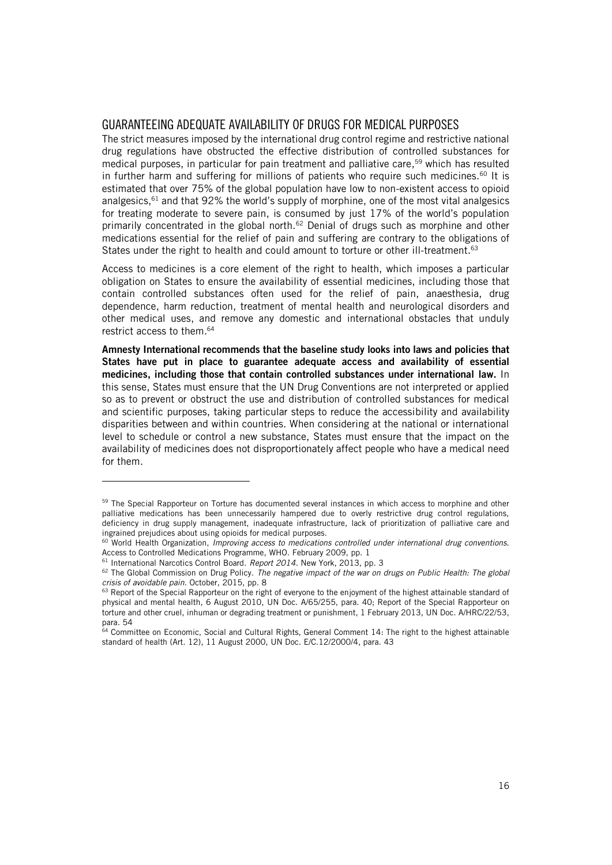### <span id="page-15-0"></span>GUARANTEEING ADEQUATE AVAILABILITY OF DRUGS FOR MEDICAL PURPOSES

The strict measures imposed by the international drug control regime and restrictive national drug regulations have obstructed the effective distribution of controlled substances for medical purposes, in particular for pain treatment and palliative care, <sup>59</sup> which has resulted in further harm and suffering for millions of patients who require such medicines.<sup>60</sup> It is estimated that over 75% of the global population have low to non-existent access to opioid analgesics,  $61$  and that 92% the world's supply of morphine, one of the most vital analgesics for treating moderate to severe pain, is consumed by just 17% of the world's population primarily concentrated in the global north.<sup>62</sup> Denial of drugs such as morphine and other medications essential for the relief of pain and suffering are contrary to the obligations of States under the right to health and could amount to torture or other ill-treatment.<sup>63</sup>

Access to medicines is a core element of the right to health, which imposes a particular obligation on States to ensure the availability of essential medicines, including those that contain controlled substances often used for the relief of pain, anaesthesia, drug dependence, harm reduction, treatment of mental health and neurological disorders and other medical uses, and remove any domestic and international obstacles that unduly restrict access to them. 64

Amnesty International recommends that the baseline study looks into laws and policies that States have put in place to guarantee adequate access and availability of essential medicines, including those that contain controlled substances under international law. In this sense, States must ensure that the UN Drug Conventions are not interpreted or applied so as to prevent or obstruct the use and distribution of controlled substances for medical and scientific purposes, taking particular steps to reduce the accessibility and availability disparities between and within countries. When considering at the national or international level to schedule or control a new substance, States must ensure that the impact on the availability of medicines does not disproportionately affect people who have a medical need for them.

<sup>&</sup>lt;sup>59</sup> The Special Rapporteur on Torture has documented several instances in which access to morphine and other palliative medications has been unnecessarily hampered due to overly restrictive drug control regulations, deficiency in drug supply management, inadequate infrastructure, lack of prioritization of palliative care and ingrained prejudices about using opioids for medical purposes.

<sup>60</sup> World Health Organization, *Improving access to medications controlled under international drug conventions.* Access to Controlled Medications Programme, WHO. February 2009, pp. 1

<sup>61</sup> International Narcotics Control Board. *Report 2014.* New York, 2013, pp. 3

<sup>62</sup> The Global Commission on Drug Policy. *The negative impact of the war on drugs on Public Health: The global crisis of avoidable pain*. October, 2015, pp. 8

<sup>63</sup> Report of the Special Rapporteur on the right of everyone to the enjoyment of the highest attainable standard of physical and mental health, 6 August 2010, UN Doc. A/65/255, para. 40; Report of the Special Rapporteur on torture and other cruel, inhuman or degrading treatment or punishment, 1 February 2013, UN Doc. A/HRC/22/53, para. 54

<sup>64</sup> Committee on Economic, Social and Cultural Rights, General Comment 14: The right to the highest attainable standard of health (Art. 12), 11 August 2000, UN Doc. E/C.12/2000/4, para. 43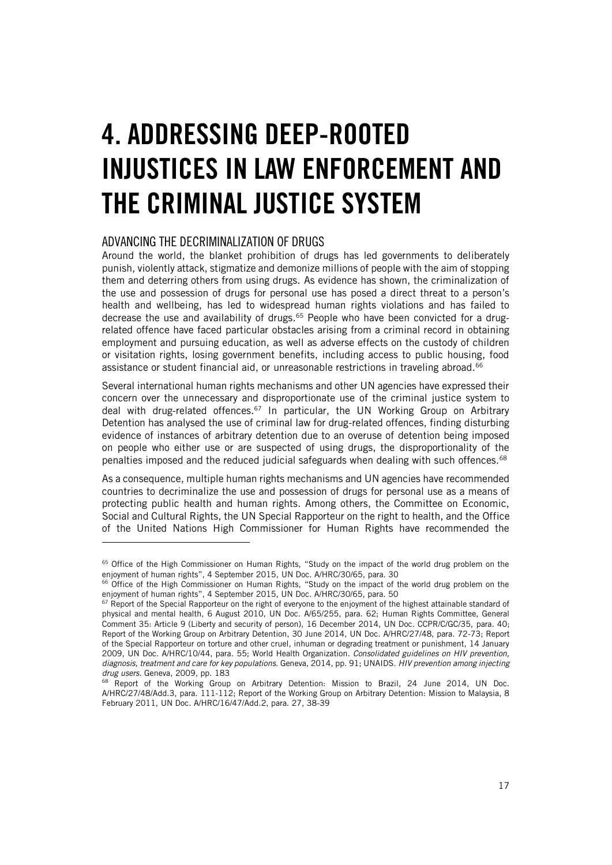# <span id="page-16-0"></span>4. ADDRESSING DEEP-ROOTED INJUSTICES IN LAW ENFORCEMENT AND THE CRIMINAL JUSTICE SYSTEM

### <span id="page-16-1"></span>ADVANCING THE DECRIMINALIZATION OF DRUGS

j

Around the world, the blanket prohibition of drugs has led governments to deliberately punish, violently attack, stigmatize and demonize millions of people with the aim of stopping them and deterring others from using drugs. As evidence has shown, the criminalization of the use and possession of drugs for personal use has posed a direct threat to a person's health and wellbeing, has led to widespread human rights violations and has failed to decrease the use and availability of drugs.<sup>65</sup> People who have been convicted for a drugrelated offence have faced particular obstacles arising from a criminal record in obtaining employment and pursuing education, as well as adverse effects on the custody of children or visitation rights, losing government benefits, including access to public housing, food assistance or student financial aid, or unreasonable restrictions in traveling abroad.<sup>66</sup>

Several international human rights mechanisms and other UN agencies have expressed their concern over the unnecessary and disproportionate use of the criminal justice system to deal with drug-related offences.<sup>67</sup> In particular, the UN Working Group on Arbitrary Detention has analysed the use of criminal law for drug-related offences, finding disturbing evidence of instances of arbitrary detention due to an overuse of detention being imposed on people who either use or are suspected of using drugs, the disproportionality of the penalties imposed and the reduced judicial safeguards when dealing with such offences.<sup>68</sup>

As a consequence, multiple human rights mechanisms and UN agencies have recommended countries to decriminalize the use and possession of drugs for personal use as a means of protecting public health and human rights. Among others, the Committee on Economic, Social and Cultural Rights, the UN Special Rapporteur on the right to health, and the Office of the United Nations High Commissioner for Human Rights have recommended the

<sup>&</sup>lt;sup>65</sup> Office of the High Commissioner on Human Rights, "Study on the impact of the world drug problem on the enjoyment of human rights", 4 September 2015, UN Doc. A/HRC/30/65, para. 30

<sup>&</sup>lt;sup>66</sup> Office of the High Commissioner on Human Rights, "Study on the impact of the world drug problem on the enjoyment of human rights", 4 September 2015, UN Doc. A/HRC/30/65, para. 50

<sup>&</sup>lt;sup>67</sup> Report of the Special Rapporteur on the right of everyone to the enjoyment of the highest attainable standard of physical and mental health, 6 August 2010, UN Doc. A/65/255, para. 62; Human Rights Committee, General Comment 35: Article 9 (Liberty and security of person), 16 December 2014, UN Doc. CCPR/C/GC/35, para. 40; Report of the Working Group on Arbitrary Detention, 30 June 2014, UN Doc. A/HRC/27/48, para. 72-73; Report of the Special Rapporteur on torture and other cruel, inhuman or degrading treatment or punishment, 14 January 2009, UN Doc. A/HRC/10/44, para. 55; World Health Organization. *Consolidated guidelines on HIV prevention, diagnosis, treatment and care for key populations*. Geneva, 2014, pp. 91; UNAIDS. *HIV prevention among injecting drug users.* Geneva, 2009, pp. 183

<sup>&</sup>lt;sup>68</sup> Report of the Working Group on Arbitrary Detention: Mission to Brazil, 24 June 2014, UN Doc. A/HRC/27/48/Add.3, para. 111-112; Report of the Working Group on Arbitrary Detention: Mission to Malaysia, 8 February 2011, UN Doc. A/HRC/16/47/Add.2, para. 27, 38-39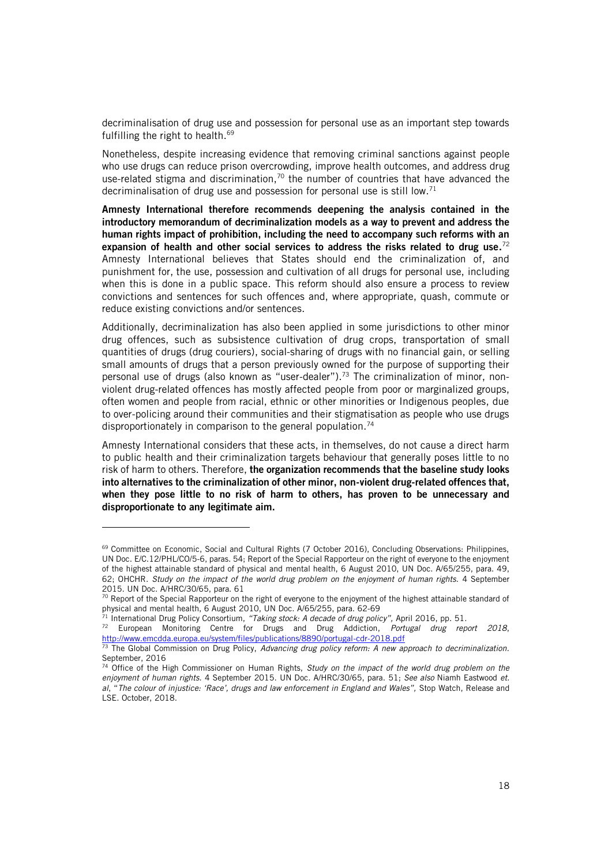decriminalisation of drug use and possession for personal use as an important step towards fulfilling the right to health. 69

Nonetheless, despite increasing evidence that removing criminal sanctions against people who use drugs can reduce prison overcrowding, improve health outcomes, and address drug use-related stigma and discrimination,<sup>70</sup> the number of countries that have advanced the decriminalisation of drug use and possession for personal use is still low.<sup>71</sup>

Amnesty International therefore recommends deepening the analysis contained in the introductory memorandum of decriminalization models as a way to prevent and address the human rights impact of prohibition, including the need to accompany such reforms with an expansion of health and other social services to address the risks related to drug use.<sup>72</sup> Amnesty International believes that States should end the criminalization of, and punishment for, the use, possession and cultivation of all drugs for personal use, including when this is done in a public space. This reform should also ensure a process to review convictions and sentences for such offences and, where appropriate, quash, commute or reduce existing convictions and/or sentences.

Additionally, decriminalization has also been applied in some jurisdictions to other minor drug offences, such as subsistence cultivation of drug crops, transportation of small quantities of drugs (drug couriers), social-sharing of drugs with no financial gain, or selling small amounts of drugs that a person previously owned for the purpose of supporting their personal use of drugs (also known as "user-dealer"). <sup>73</sup> The criminalization of minor, nonviolent drug-related offences has mostly affected people from poor or marginalized groups, often women and people from racial, ethnic or other minorities or Indigenous peoples, due to over-policing around their communities and their stigmatisation as people who use drugs disproportionately in comparison to the general population.<sup>74</sup>

Amnesty International considers that these acts, in themselves, do not cause a direct harm to public health and their criminalization targets behaviour that generally poses little to no risk of harm to others. Therefore, the organization recommends that the baseline study looks into alternatives to the criminalization of other minor, non-violent drug-related offences that, when they pose little to no risk of harm to others, has proven to be unnecessary and disproportionate to any legitimate aim.

<sup>&</sup>lt;sup>69</sup> Committee on Economic, Social and Cultural Rights (7 October 2016), Concluding Observations: Philippines, UN Doc. E/C.12/PHL/CO/5-6, paras. 54; Report of the Special Rapporteur on the right of everyone to the enjoyment of the highest attainable standard of physical and mental health, 6 August 2010, UN Doc. A/65/255, para. 49, 62; OHCHR. *Study on the impact of the world drug problem on the enjoyment of human rights.* 4 September 2015. UN Doc. A/HRC/30/65, para. 61

<sup>&</sup>lt;sup>70</sup> Report of the Special Rapporteur on the right of everyone to the enjoyment of the highest attainable standard of physical and mental health, 6 August 2010, UN Doc. A/65/255, para. 62-69

<sup>71</sup> International Drug Policy Consortium, *"Taking stock: A decade of drug policy",* April 2016, pp. 51.

<sup>72</sup> European Monitoring Centre for Drugs and Drug Addiction, *Portugal drug report 2018*, <http://www.emcdda.europa.eu/system/files/publications/8890/portugal-cdr-2018.pdf>

<sup>73</sup> The Global Commission on Drug Policy, *Advancing drug policy reform: A new approach to decriminalization.*  September, 2016

<sup>74</sup> Office of the High Commissioner on Human Rights, *Study on the impact of the world drug problem on the enjoyment of human rights.* 4 September 2015. UN Doc. A/HRC/30/65, para. 51; *See also* Niamh Eastwood *et. al*, "*The colour of injustice: 'Race', drugs and law enforcement in England and Wales",* Stop Watch, Release and LSE. October, 2018.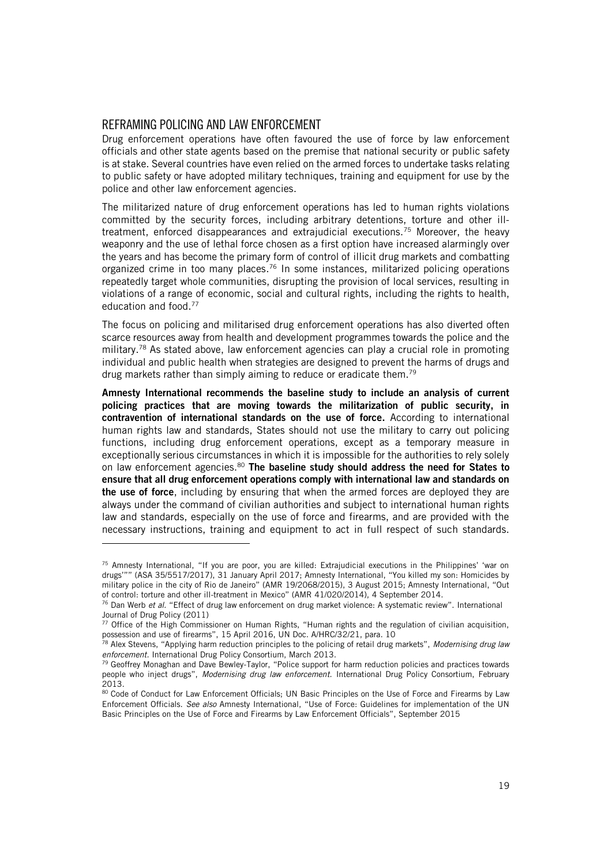### <span id="page-18-0"></span>REFRAMING POLICING AND LAW ENFORCEMENT

ł

Drug enforcement operations have often favoured the use of force by law enforcement officials and other state agents based on the premise that national security or public safety is at stake. Several countries have even relied on the armed forces to undertake tasks relating to public safety or have adopted military techniques, training and equipment for use by the police and other law enforcement agencies.

The militarized nature of drug enforcement operations has led to human rights violations committed by the security forces, including arbitrary detentions, torture and other illtreatment, enforced disappearances and extrajudicial executions.<sup>75</sup> Moreover, the heavy weaponry and the use of lethal force chosen as a first option have increased alarmingly over the years and has become the primary form of control of illicit drug markets and combatting organized crime in too many places.<sup>76</sup> In some instances, militarized policing operations repeatedly target whole communities, disrupting the provision of local services, resulting in violations of a range of economic, social and cultural rights, including the rights to health, education and food.<sup>77</sup>

The focus on policing and militarised drug enforcement operations has also diverted often scarce resources away from health and development programmes towards the police and the military.<sup>78</sup> As stated above, law enforcement agencies can play a crucial role in promoting individual and public health when strategies are designed to prevent the harms of drugs and drug markets rather than simply aiming to reduce or eradicate them.<sup>79</sup>

Amnesty International recommends the baseline study to include an analysis of current policing practices that are moving towards the militarization of public security, in contravention of international standards on the use of force. According to international human rights law and standards, States should not use the military to carry out policing functions, including drug enforcement operations, except as a temporary measure in exceptionally serious circumstances in which it is impossible for the authorities to rely solely on law enforcement agencies. $80$  The baseline study should address the need for States to ensure that all drug enforcement operations comply with international law and standards on the use of force, including by ensuring that when the armed forces are deployed they are always under the command of civilian authorities and subject to international human rights law and standards, especially on the use of force and firearms, and are provided with the necessary instructions, training and equipment to act in full respect of such standards.

<sup>75</sup> Amnesty International, "If you are poor, you are killed: Extrajudicial executions in the Philippines' 'war on drugs'"" (ASA 35/5517/2017), 31 January April 2017; Amnesty International, "You killed my son: Homicides by military police in the city of Rio de Janeiro" (AMR 19/2068/2015), 3 August 2015; Amnesty International, "Out of control: torture and other ill-treatment in Mexico" (AMR 41/020/2014), 4 September 2014.

<sup>76</sup> Dan Werb *et al.* "Effect of drug law enforcement on drug market violence: A systematic review". International Journal of Drug Policy (2011)

<sup>77</sup> Office of the High Commissioner on Human Rights, "Human rights and the regulation of civilian acquisition, possession and use of firearms", 15 April 2016, UN Doc. A/HRC/32/21, para. 10

<sup>78</sup> Alex Stevens, "Applying harm reduction principles to the policing of retail drug markets", *Modernising drug law enforcement.* International Drug Policy Consortium, March 2013.

<sup>&</sup>lt;sup>79</sup> Geoffrey Monaghan and Dave Bewley-Taylor, "Police support for harm reduction policies and practices towards people who inject drugs", *Modernising drug law enforcement.* International Drug Policy Consortium, February 2013.

<sup>80</sup> Code of Conduct for Law Enforcement Officials; UN Basic Principles on the Use of Force and Firearms by Law Enforcement Officials. *See also* Amnesty International, "Use of Force: Guidelines for implementation of the UN Basic Principles on the Use of Force and Firearms by Law Enforcement Officials", September 2015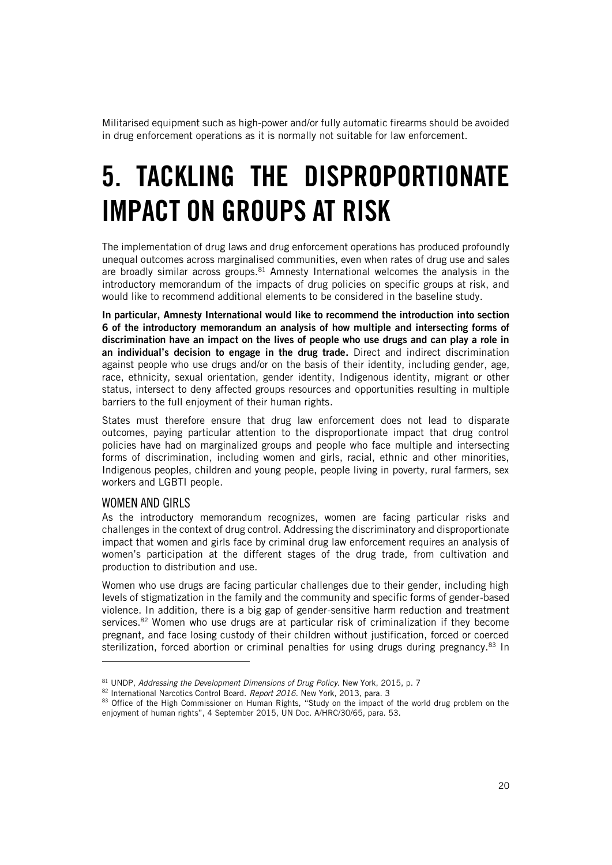Militarised equipment such as high-power and/or fully automatic firearms should be avoided in drug enforcement operations as it is normally not suitable for law enforcement.

# <span id="page-19-0"></span>5. TACKLING THE DISPROPORTIONATE IMPACT ON GROUPS AT RISK

The implementation of drug laws and drug enforcement operations has produced profoundly unequal outcomes across marginalised communities, even when rates of drug use and sales are broadly similar across groups. $81$  Amnesty International welcomes the analysis in the introductory memorandum of the impacts of drug policies on specific groups at risk, and would like to recommend additional elements to be considered in the baseline study.

In particular, Amnesty International would like to recommend the introduction into section 6 of the introductory memorandum an analysis of how multiple and intersecting forms of discrimination have an impact on the lives of people who use drugs and can play a role in an individual's decision to engage in the drug trade. Direct and indirect discrimination against people who use drugs and/or on the basis of their identity, including gender, age, race, ethnicity, sexual orientation, gender identity, Indigenous identity, migrant or other status, intersect to deny affected groups resources and opportunities resulting in multiple barriers to the full enjoyment of their human rights.

States must therefore ensure that drug law enforcement does not lead to disparate outcomes, paying particular attention to the disproportionate impact that drug control policies have had on marginalized groups and people who face multiple and intersecting forms of discrimination, including women and girls, racial, ethnic and other minorities, Indigenous peoples, children and young people, people living in poverty, rural farmers, sex workers and LGBTI people.

### <span id="page-19-1"></span>WOMEN AND GIRLS

ł

As the introductory memorandum recognizes, women are facing particular risks and challenges in the context of drug control. Addressing the discriminatory and disproportionate impact that women and girls face by criminal drug law enforcement requires an analysis of women's participation at the different stages of the drug trade, from cultivation and production to distribution and use.

Women who use drugs are facing particular challenges due to their gender, including high levels of stigmatization in the family and the community and specific forms of gender-based violence. In addition, there is a big gap of gender-sensitive harm reduction and treatment services.<sup>82</sup> Women who use drugs are at particular risk of criminalization if they become pregnant, and face losing custody of their children without justification, forced or coerced sterilization, forced abortion or criminal penalties for using drugs during pregnancy.<sup>83</sup> In

<sup>81</sup> UNDP, *Addressing the Development Dimensions of Drug Policy.* New York, 2015, p. 7

<sup>82</sup> International Narcotics Control Board. *Report 2016.* New York, 2013, para. 3

<sup>83</sup> Office of the High Commissioner on Human Rights, "Study on the impact of the world drug problem on the enjoyment of human rights", 4 September 2015, UN Doc. A/HRC/30/65, para. 53.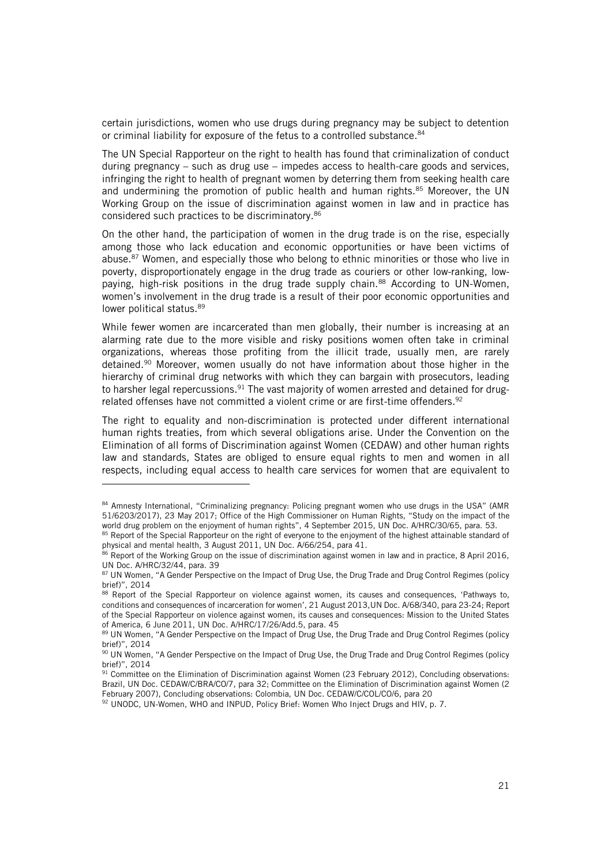certain jurisdictions, women who use drugs during pregnancy may be subject to detention or criminal liability for exposure of the fetus to a controlled substance.<sup>84</sup>

The UN Special Rapporteur on the right to health has found that criminalization of conduct during pregnancy – such as drug use – impedes access to health-care goods and services, infringing the right to health of pregnant women by deterring them from seeking health care and undermining the promotion of public health and human rights.<sup>85</sup> Moreover, the UN Working Group on the issue of discrimination against women in law and in practice has considered such practices to be discriminatory.<sup>86</sup>

On the other hand, the participation of women in the drug trade is on the rise, especially among those who lack education and economic opportunities or have been victims of abuse.<sup>87</sup> Women, and especially those who belong to ethnic minorities or those who live in poverty, disproportionately engage in the drug trade as couriers or other low-ranking, lowpaying, high-risk positions in the drug trade supply chain.<sup>88</sup> According to UN-Women, women's involvement in the drug trade is a result of their poor economic opportunities and lower political status.<sup>89</sup>

While fewer women are incarcerated than men globally, their number is increasing at an alarming rate due to the more visible and risky positions women often take in criminal organizations, whereas those profiting from the illicit trade, usually men, are rarely detained.<sup>90</sup> Moreover, women usually do not have information about those higher in the hierarchy of criminal drug networks with which they can bargain with prosecutors, leading to harsher legal repercussions.<sup>91</sup> The vast majority of women arrested and detained for drugrelated offenses have not committed a violent crime or are first-time offenders. 92

The right to equality and non-discrimination is protected under different international human rights treaties, from which several obligations arise. Under the Convention on the Elimination of all forms of Discrimination against Women (CEDAW) and other human rights law and standards, States are obliged to ensure equal rights to men and women in all respects, including equal access to health care services for women that are equivalent to

<sup>84</sup> Amnesty International, "Criminalizing pregnancy: Policing pregnant women who use drugs in the USA" (AMR 51/6203/2017), 23 May 2017; Office of the High Commissioner on Human Rights, "Study on the impact of the world drug problem on the enjoyment of human rights", 4 September 2015, UN Doc. A/HRC/30/65, para. 53.

<sup>85</sup> Report of the Special Rapporteur on the right of everyone to the enjoyment of the highest attainable standard of physical and mental health, 3 August 2011, UN Doc. A/66/254, para 41.

<sup>86</sup> Report of the Working Group on the issue of discrimination against women in law and in practice, 8 April 2016, UN Doc. A/HRC/32/44, para. 39

<sup>87</sup> UN Women, "A Gender Perspective on the Impact of Drug Use, the Drug Trade and Drug Control Regimes (policy brief)", 2014

<sup>88</sup> Report of the Special Rapporteur on violence against women, its causes and consequences, 'Pathways to, conditions and consequences of incarceration for women', 21 August 2013,UN Doc. A/68/340, para 23-24; Report of the Special Rapporteur on violence against women, its causes and consequences: Mission to the United States of America, 6 June 2011, UN Doc. A/HRC/17/26/Add.5, para. 45

<sup>89</sup> UN Women, "A Gender Perspective on the Impact of Drug Use, the Drug Trade and Drug Control Regimes (policy brief)", 2014

<sup>90</sup> UN Women, "A Gender Perspective on the Impact of Drug Use, the Drug Trade and Drug Control Regimes (policy brief)", 2014

<sup>&</sup>lt;sup>91</sup> Committee on the Elimination of Discrimination against Women (23 February 2012), Concluding observations: Brazil, UN Doc. CEDAW/C/BRA/CO/7, para 32; Committee on the Elimination of Discrimination against Women (2 February 2007), Concluding observations: Colombia, UN Doc. CEDAW/C/COL/CO/6, para 20

<sup>92</sup> UNODC, UN-Women, WHO and INPUD, Policy Brief: Women Who Inject Drugs and HIV, p. 7.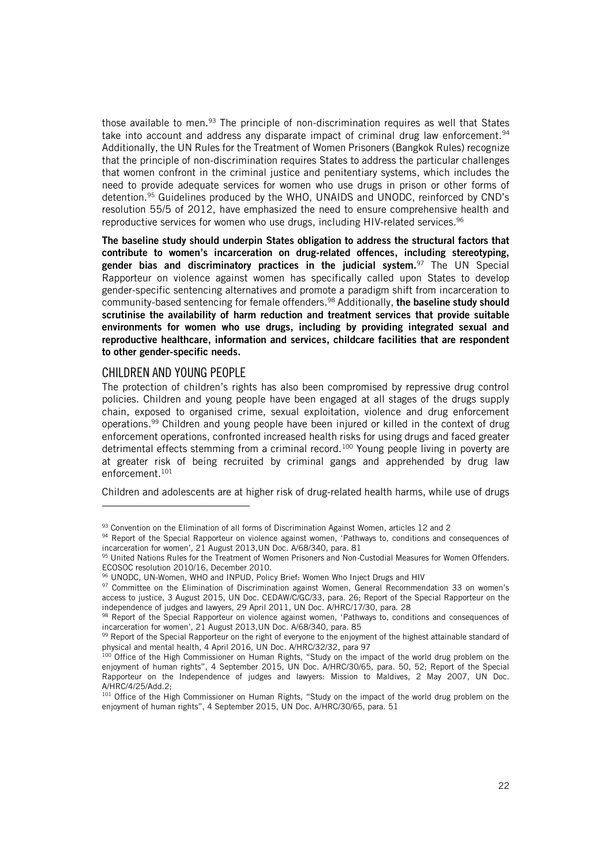those available to men.<sup>93</sup> The principle of non-discrimination requires as well that States take into account and address any disparate impact of criminal drug law enforcement.  $94$ Additionally, the UN Rules for the Treatment of Women Prisoners (Bangkok Rules) recognize that the principle of non-discrimination requires States to address the particular challenges that women confront in the criminal justice and penitentiary systems, which includes the need to provide adequate services for women who use drugs in prison or other forms of detention. <sup>95</sup> Guidelines produced by the WHO, UNAIDS and UNODC, reinforced by CND's resolution 55/5 of 2012, have emphasized the need to ensure comprehensive health and reproductive services for women who use drugs, including HIV-related services.<sup>96</sup>

The baseline study should underpin States obligation to address the structural factors that contribute to women's incarceration on drug-related offences, including stereotyping, gender bias and discriminatory practices in the judicial system. $97$  The UN Special Rapporteur on violence against women has specifically called upon States to develop gender-specific sentencing alternatives and promote a paradigm shift from incarceration to community-based sentencing for female offenders.<sup>98</sup> Additionally, **the baseline study should** scrutinise the availability of harm reduction and treatment services that provide suitable environments for women who use drugs, including by providing integrated sexual and reproductive healthcare, information and services, childcare facilities that are respondent to other gender-specific needs.

### <span id="page-21-0"></span>CHILDREN AND YOUNG PEOPLE

ł

The protection of children's rights has also been compromised by repressive drug control policies. Children and young people have been engaged at all stages of the drugs supply chain, exposed to organised crime, sexual exploitation, violence and drug enforcement operations. <sup>99</sup> Children and young people have been injured or killed in the context of drug enforcement operations, confronted increased health risks for using drugs and faced greater detrimental effects stemming from a criminal record.<sup>100</sup> Young people living in poverty are at greater risk of being recruited by criminal gangs and apprehended by drug law enforcement.<sup>101</sup>

Children and adolescents are at higher risk of drug-related health harms, while use of drugs

 $93$  Convention on the Elimination of all forms of Discrimination Against Women, articles 12 and 2

<sup>94</sup> Report of the Special Rapporteur on violence against women, 'Pathways to, conditions and consequences of incarceration for women', 21 August 2013,UN Doc. A/68/340, para. 81

<sup>95</sup> United Nations Rules for the Treatment of Women Prisoners and Non-Custodial Measures for Women Offenders. ECOSOC resolution 2010/16, December 2010.

<sup>96</sup> UNODC, UN-Women, WHO and INPUD, Policy Brief: Women Who Inject Drugs and HIV

<sup>97</sup> Committee on the Elimination of Discrimination against Women, General Recommendation 33 on women's access to justice, 3 August 2015, UN Doc. CEDAW/C/GC/33, para. 26; Report of the Special Rapporteur on the independence of judges and lawyers, 29 April 2011, UN Doc. A/HRC/17/30, para. 28

<sup>98</sup> Report of the Special Rapporteur on violence against women, 'Pathways to, conditions and consequences of incarceration for women', 21 August 2013,UN Doc. A/68/340, para. 85

<sup>99</sup> Report of the Special Rapporteur on the right of everyone to the enjoyment of the highest attainable standard of physical and mental health, 4 April 2016, UN Doc. A/HRC/32/32, para 97

<sup>100</sup> Office of the High Commissioner on Human Rights, "Study on the impact of the world drug problem on the enjoyment of human rights", 4 September 2015, UN Doc. A/HRC/30/65, para. 50, 52; Report of the Special Rapporteur on the Independence of judges and lawyers: Mission to Maldives, 2 May 2007, UN Doc. A/HRC/4/25/Add.2;

<sup>101</sup> Office of the High Commissioner on Human Rights, "Study on the impact of the world drug problem on the enjoyment of human rights", 4 September 2015, UN Doc. A/HRC/30/65, para. 51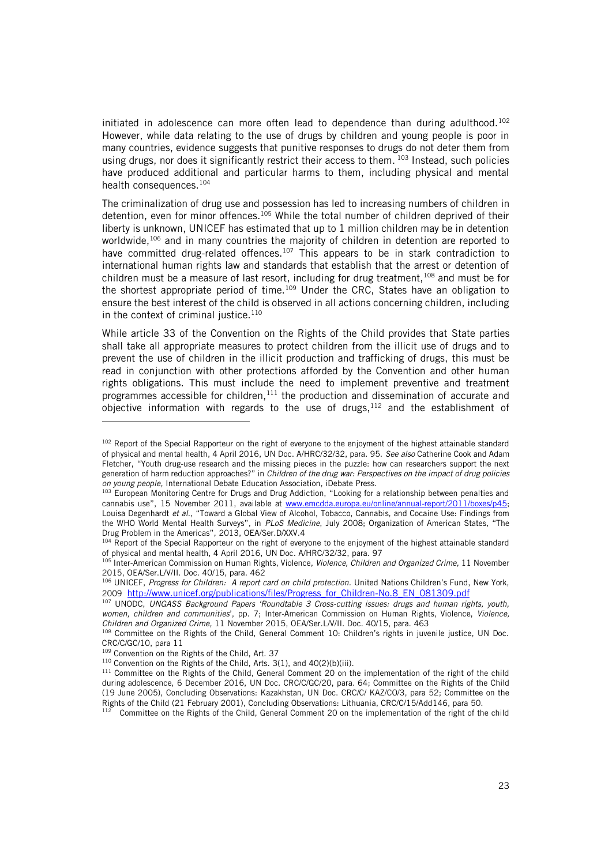initiated in adolescence can more often lead to dependence than during adulthood.<sup>102</sup> However, while data relating to the use of drugs by children and young people is poor in many countries, evidence suggests that punitive responses to drugs do not deter them from using drugs, nor does it significantly restrict their access to them. 103 Instead, such policies have produced additional and particular harms to them, including physical and mental health consequences.<sup>104</sup>

The criminalization of drug use and possession has led to increasing numbers of children in detention, even for minor offences.<sup>105</sup> While the total number of children deprived of their liberty is unknown, UNICEF has estimated that up to 1 million children may be in detention worldwide,<sup>106</sup> and in many countries the majority of children in detention are reported to have committed drug-related offences.<sup>107</sup> This appears to be in stark contradiction to international human rights law and standards that establish that the arrest or detention of children must be a measure of last resort, including for drug treatment,  $108$  and must be for the shortest appropriate period of time.<sup>109</sup> Under the CRC, States have an obligation to ensure the best interest of the child is observed in all actions concerning children, including in the context of criminal justice.<sup>110</sup>

While article 33 of the Convention on the Rights of the Child provides that State parties shall take all appropriate measures to protect children from the illicit use of drugs and to prevent the use of children in the illicit production and trafficking of drugs, this must be read in conjunction with other protections afforded by the Convention and other human rights obligations. This must include the need to implement preventive and treatment programmes accessible for children, $111$  the production and dissemination of accurate and objective information with regards to the use of drugs,  $112$  and the establishment of

j

<sup>&</sup>lt;sup>102</sup> Report of the Special Rapporteur on the right of everyone to the enjoyment of the highest attainable standard of physical and mental health, 4 April 2016, UN Doc. A/HRC/32/32, para. 95. *See also* Catherine Cook and Adam Fletcher, "Youth drug-use research and the missing pieces in the puzzle: how can researchers support the next generation of harm reduction approaches?" in *Children of the drug war: Perspectives on the impact of drug policies on young people,* International Debate Education Association, iDebate Press.

<sup>103</sup> European Monitoring Centre for Drugs and Drug Addiction, "Looking for a relationship between penalties and cannabis use", 15 November 2011, available at www.emcdda.europa.eu/online/annual-report/2011/boxes/p45; Louisa Degenhardt *et al.*, "Toward a Global View of Alcohol, Tobacco, Cannabis, and Cocaine Use: Findings from the WHO World Mental Health Surveys", in *PLoS Medicine*, July 2008; Organization of American States, "The Drug Problem in the Americas", 2013, OEA/Ser.D/XXV.4

<sup>&</sup>lt;sup>104</sup> Report of the Special Rapporteur on the right of everyone to the enjoyment of the highest attainable standard of physical and mental health, 4 April 2016, UN Doc. A/HRC/32/32, para. 97

<sup>105</sup> Inter-American Commission on Human Rights, Violence, *Violence, Children and Organized Crime,* 11 November 2015, OEA/Ser.L/V/II. Doc. 40/15, para. 462

<sup>&</sup>lt;sup>106</sup> UNICEF, *Progress for Children: A report card on child protection.* United Nations Children's Fund, New York, 2009 [http://www.unicef.org/publications/files/Progress\\_for\\_Children-No.8\\_EN\\_081309.pdf](http://www.unicef.org/publications/files/Progress_for_Children-No.8_EN_081309.pdf)

<sup>107</sup> UNODC, *UNGASS Background Papers 'Roundtable 3 Cross-cutting issues: drugs and human rights, youth, women, children and communities*', pp. 7; Inter-American Commission on Human Rights, Violence, *Violence, Children and Organized Crime,* 11 November 2015, OEA/Ser.L/V/II. Doc. 40/15, para. 463

<sup>108</sup> Committee on the Rights of the Child, General Comment 10: Children's rights in juvenile justice, UN Doc. CRC/C/GC/10, para 11

<sup>109</sup> Convention on the Rights of the Child, Art. 37

 $110$  Convention on the Rights of the Child, Arts. 3(1), and 40(2)(b)(iii).

<sup>&</sup>lt;sup>111</sup> Committee on the Rights of the Child, General Comment 20 on the implementation of the right of the child during adolescence, 6 December 2016, UN Doc. CRC/C/GC/20, para. 64; Committee on the Rights of the Child (19 June 2005), Concluding Observations: Kazakhstan, UN Doc. CRC/C/ KAZ/CO/3, para 52; Committee on the Rights of the Child (21 February 2001), Concluding Observations: Lithuania, CRC/C/15/Add146, para 50.

<sup>&</sup>lt;sup>112</sup> Committee on the Rights of the Child, General Comment 20 on the implementation of the right of the child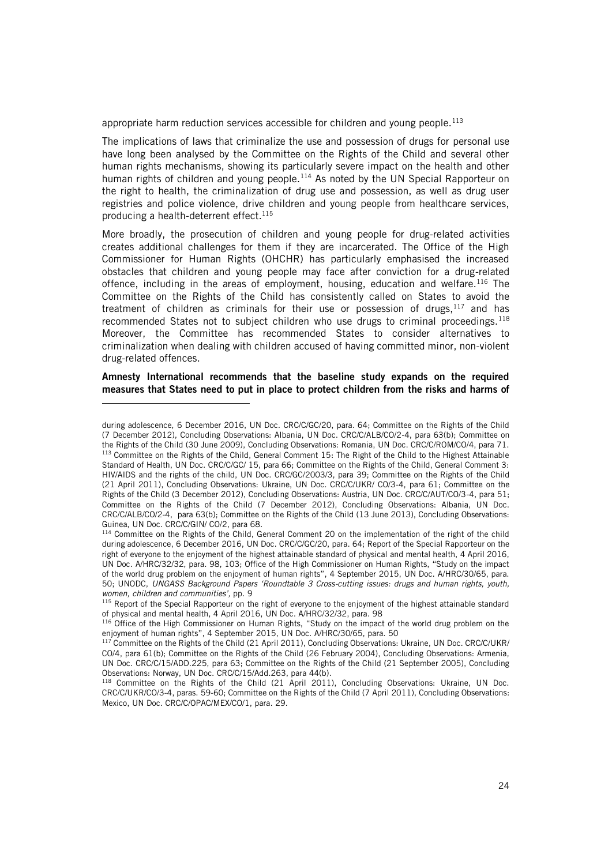appropriate harm reduction services accessible for children and young people.<sup>113</sup>

The implications of laws that criminalize the use and possession of drugs for personal use have long been analysed by the Committee on the Rights of the Child and several other human rights mechanisms, showing its particularly severe impact on the health and other human rights of children and young people.<sup>114</sup> As noted by the UN Special Rapporteur on the right to health, the criminalization of drug use and possession, as well as drug user registries and police violence, drive children and young people from healthcare services, producing a health-deterrent effect.<sup>115</sup>

More broadly, the prosecution of children and young people for drug-related activities creates additional challenges for them if they are incarcerated. The Office of the High Commissioner for Human Rights (OHCHR) has particularly emphasised the increased obstacles that children and young people may face after conviction for a drug-related offence, including in the areas of employment, housing, education and welfare.<sup>116</sup> The Committee on the Rights of the Child has consistently called on States to avoid the treatment of children as criminals for their use or possession of drugs, $117$  and has recommended States not to subject children who use drugs to criminal proceedings.<sup>118</sup> Moreover, the Committee has recommended States to consider alternatives to criminalization when dealing with children accused of having committed minor, non-violent drug-related offences.

Amnesty International recommends that the baseline study expands on the required measures that States need to put in place to protect children from the risks and harms of

during adolescence, 6 December 2016, UN Doc. CRC/C/GC/20, para. 64; Committee on the Rights of the Child (7 December 2012), Concluding Observations: Albania, UN Doc. CRC/C/ALB/CO/2-4, para 63(b); Committee on the Rights of the Child (30 June 2009), Concluding Observations: Romania, UN Doc. CRC/C/ROM/CO/4, para 71. <sup>113</sup> Committee on the Rights of the Child, General Comment 15: The Right of the Child to the Highest Attainable Standard of Health, UN Doc. CRC/C/GC/ 15, para 66; Committee on the Rights of the Child, General Comment 3: HIV/AIDS and the rights of the child, UN Doc. CRC/GC/2003/3, para 39; Committee on the Rights of the Child (21 April 2011), Concluding Observations: Ukraine, UN Doc. CRC/C/UKR/ CO/3-4, para 61; Committee on the Rights of the Child (3 December 2012), Concluding Observations: Austria, UN Doc. CRC/C/AUT/CO/3-4, para 51; Committee on the Rights of the Child (7 December 2012), Concluding Observations: Albania, UN Doc. CRC/C/ALB/CO/2-4, para 63(b); Committee on the Rights of the Child (13 June 2013), Concluding Observations: Guinea, UN Doc. CRC/C/GIN/ CO/2, para 68.

<sup>&</sup>lt;sup>114</sup> Committee on the Rights of the Child, General Comment 20 on the implementation of the right of the child during adolescence, 6 December 2016, UN Doc. CRC/C/GC/20, para. 64; Report of the Special Rapporteur on the right of everyone to the enjoyment of the highest attainable standard of physical and mental health, 4 April 2016, UN Doc. A/HRC/32/32, para. 98, 103; Office of the High Commissioner on Human Rights, "Study on the impact of the world drug problem on the enjoyment of human rights", 4 September 2015, UN Doc. A/HRC/30/65, para. 50; UNODC, *UNGASS Background Papers 'Roundtable 3 Cross-cutting issues: drugs and human rights, youth, women, children and communities',* pp. 9

<sup>&</sup>lt;sup>115</sup> Report of the Special Rapporteur on the right of everyone to the enjoyment of the highest attainable standard of physical and mental health, 4 April 2016, UN Doc. A/HRC/32/32, para. 98

<sup>&</sup>lt;sup>116</sup> Office of the High Commissioner on Human Rights, "Study on the impact of the world drug problem on the enjoyment of human rights", 4 September 2015, UN Doc. A/HRC/30/65, para. 50

<sup>&</sup>lt;sup>117</sup> Committee on the Rights of the Child (21 April 2011), Concluding Observations: Ukraine, UN Doc. CRC/C/UKR/ CO/4, para 61(b); Committee on the Rights of the Child (26 February 2004), Concluding Observations: Armenia, UN Doc. CRC/C/15/ADD.225, para 63; Committee on the Rights of the Child (21 September 2005), Concluding Observations: Norway, UN Doc. CRC/C/15/Add.263, para 44(b).

<sup>&</sup>lt;sup>118</sup> Committee on the Rights of the Child (21 April 2011), Concluding Observations: Ukraine, UN Doc. CRC/C/UKR/CO/3-4, paras. 59-60; Committee on the Rights of the Child (7 April 2011), Concluding Observations: Mexico, UN Doc. CRC/C/OPAC/MEX/CO/1, para. 29.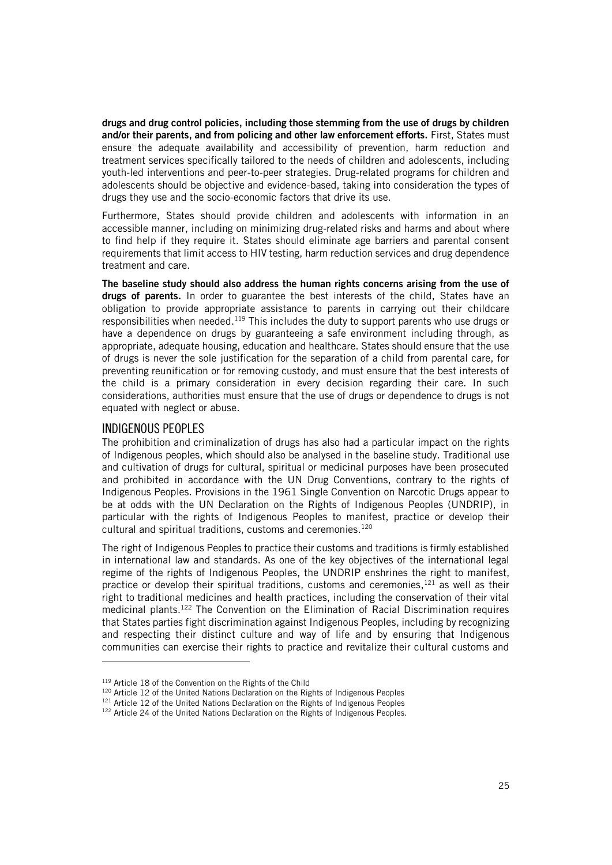drugs and drug control policies, including those stemming from the use of drugs by children and/or their parents, and from policing and other law enforcement efforts. First, States must ensure the adequate availability and accessibility of prevention, harm reduction and treatment services specifically tailored to the needs of children and adolescents, including youth-led interventions and peer-to-peer strategies. Drug-related programs for children and adolescents should be objective and evidence-based, taking into consideration the types of drugs they use and the socio-economic factors that drive its use.

Furthermore, States should provide children and adolescents with information in an accessible manner, including on minimizing drug-related risks and harms and about where to find help if they require it. States should eliminate age barriers and parental consent requirements that limit access to HIV testing, harm reduction services and drug dependence treatment and care.

The baseline study should also address the human rights concerns arising from the use of drugs of parents. In order to guarantee the best interests of the child, States have an obligation to provide appropriate assistance to parents in carrying out their childcare responsibilities when needed.<sup>119</sup> This includes the duty to support parents who use drugs or have a dependence on drugs by guaranteeing a safe environment including through, as appropriate, adequate housing, education and healthcare. States should ensure that the use of drugs is never the sole justification for the separation of a child from parental care, for preventing reunification or for removing custody, and must ensure that the best interests of the child is a primary consideration in every decision regarding their care. In such considerations, authorities must ensure that the use of drugs or dependence to drugs is not equated with neglect or abuse.

### <span id="page-24-0"></span>INDIGENOUS PEOPLES

j

The prohibition and criminalization of drugs has also had a particular impact on the rights of Indigenous peoples, which should also be analysed in the baseline study. Traditional use and cultivation of drugs for cultural, spiritual or medicinal purposes have been prosecuted and prohibited in accordance with the UN Drug Conventions, contrary to the rights of Indigenous Peoples. Provisions in the 1961 Single Convention on Narcotic Drugs appear to be at odds with the UN Declaration on the Rights of Indigenous Peoples (UNDRIP), in particular with the rights of Indigenous Peoples to manifest, practice or develop their cultural and spiritual traditions, customs and ceremonies. $120$ 

The right of Indigenous Peoples to practice their customs and traditions is firmly established in international law and standards. As one of the key objectives of the international legal regime of the rights of Indigenous Peoples, the UNDRIP enshrines the right to manifest, practice or develop their spiritual traditions, customs and ceremonies,<sup>121</sup> as well as their right to traditional medicines and health practices, including the conservation of their vital medicinal plants.<sup>122</sup> The Convention on the Elimination of Racial Discrimination requires that States parties fight discrimination against Indigenous Peoples, including by recognizing and respecting their distinct culture and way of life and by ensuring that Indigenous communities can exercise their rights to practice and revitalize their cultural customs and

<sup>&</sup>lt;sup>119</sup> Article 18 of the Convention on the Rights of the Child

<sup>&</sup>lt;sup>120</sup> Article 12 of the United Nations Declaration on the Rights of Indigenous Peoples

<sup>121</sup> Article 12 of the United Nations Declaration on the Rights of Indigenous Peoples

<sup>&</sup>lt;sup>122</sup> Article 24 of the United Nations Declaration on the Rights of Indigenous Peoples.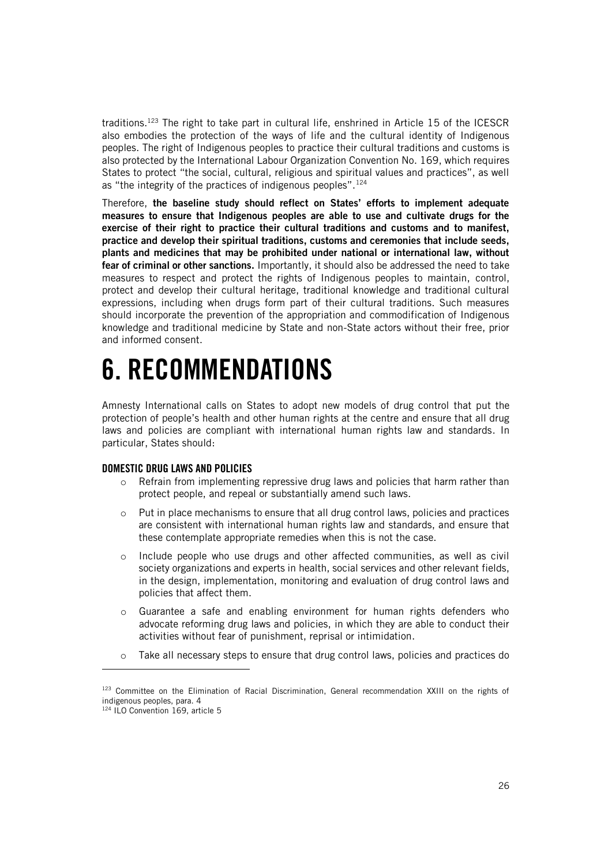traditions.<sup>123</sup> The right to take part in cultural life, enshrined in Article 15 of the ICESCR also embodies the protection of the ways of life and the cultural identity of Indigenous peoples. The right of Indigenous peoples to practice their cultural traditions and customs is also protected by the International Labour Organization Convention No. 169, which requires States to protect "the social, cultural, religious and spiritual values and practices", as well as "the integrity of the practices of indigenous peoples".<sup>124</sup>

Therefore, the baseline study should reflect on States' efforts to implement adequate measures to ensure that Indigenous peoples are able to use and cultivate drugs for the exercise of their right to practice their cultural traditions and customs and to manifest, practice and develop their spiritual traditions, customs and ceremonies that include seeds, plants and medicines that may be prohibited under national or international law, without fear of criminal or other sanctions. Importantly, it should also be addressed the need to take measures to respect and protect the rights of Indigenous peoples to maintain, control, protect and develop their cultural heritage, traditional knowledge and traditional cultural expressions, including when drugs form part of their cultural traditions. Such measures should incorporate the prevention of the appropriation and commodification of Indigenous knowledge and traditional medicine by State and non-State actors without their free, prior and informed consent.

## <span id="page-25-0"></span>6. RECOMMENDATIONS

Amnesty International calls on States to adopt new models of drug control that put the protection of people's health and other human rights at the centre and ensure that all drug laws and policies are compliant with international human rights law and standards. In particular, States should:

### <span id="page-25-1"></span>DOMESTIC DRUG LAWS AND POLICIES

- $\circ$  Refrain from implementing repressive drug laws and policies that harm rather than protect people, and repeal or substantially amend such laws.
- Put in place mechanisms to ensure that all drug control laws, policies and practices are consistent with international human rights law and standards, and ensure that these contemplate appropriate remedies when this is not the case.
- o Include people who use drugs and other affected communities, as well as civil society organizations and experts in health, social services and other relevant fields, in the design, implementation, monitoring and evaluation of drug control laws and policies that affect them.
- o Guarantee a safe and enabling environment for human rights defenders who advocate reforming drug laws and policies, in which they are able to conduct their activities without fear of punishment, reprisal or intimidation.
- o Take all necessary steps to ensure that drug control laws, policies and practices do

<sup>123</sup> Committee on the Elimination of Racial Discrimination, General recommendation XXIII on the rights of indigenous peoples, para. 4

<sup>124</sup> ILO Convention 169, article 5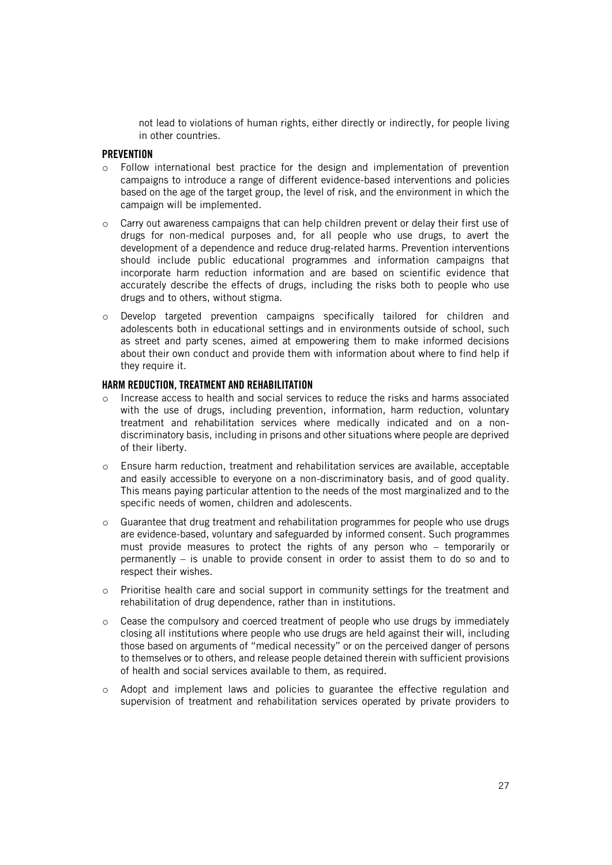not lead to violations of human rights, either directly or indirectly, for people living in other countries.

### <span id="page-26-0"></span>**PREVENTION**

- $\circ$  Follow international best practice for the design and implementation of prevention campaigns to introduce a range of different evidence-based interventions and policies based on the age of the target group, the level of risk, and the environment in which the campaign will be implemented.
- $\circ$  Carry out awareness campaigns that can help children prevent or delay their first use of drugs for non-medical purposes and, for all people who use drugs, to avert the development of a dependence and reduce drug-related harms. Prevention interventions should include public educational programmes and information campaigns that incorporate harm reduction information and are based on scientific evidence that accurately describe the effects of drugs, including the risks both to people who use drugs and to others, without stigma.
- o Develop targeted prevention campaigns specifically tailored for children and adolescents both in educational settings and in environments outside of school, such as street and party scenes, aimed at empowering them to make informed decisions about their own conduct and provide them with information about where to find help if they require it.

### <span id="page-26-1"></span>HARM REDUCTION, TREATMENT AND REHABILITATION

- o Increase access to health and social services to reduce the risks and harms associated with the use of drugs, including prevention, information, harm reduction, voluntary treatment and rehabilitation services where medically indicated and on a nondiscriminatory basis, including in prisons and other situations where people are deprived of their liberty.
- o Ensure harm reduction, treatment and rehabilitation services are available, acceptable and easily accessible to everyone on a non-discriminatory basis, and of good quality. This means paying particular attention to the needs of the most marginalized and to the specific needs of women, children and adolescents.
- $\circ$  Guarantee that drug treatment and rehabilitation programmes for people who use drugs are evidence-based, voluntary and safeguarded by informed consent. Such programmes must provide measures to protect the rights of any person who – temporarily or permanently – is unable to provide consent in order to assist them to do so and to respect their wishes.
- o Prioritise health care and social support in community settings for the treatment and rehabilitation of drug dependence, rather than in institutions.
- o Cease the compulsory and coerced treatment of people who use drugs by immediately closing all institutions where people who use drugs are held against their will, including those based on arguments of "medical necessity" or on the perceived danger of persons to themselves or to others, and release people detained therein with sufficient provisions of health and social services available to them, as required.
- $\circ$  Adopt and implement laws and policies to guarantee the effective regulation and supervision of treatment and rehabilitation services operated by private providers to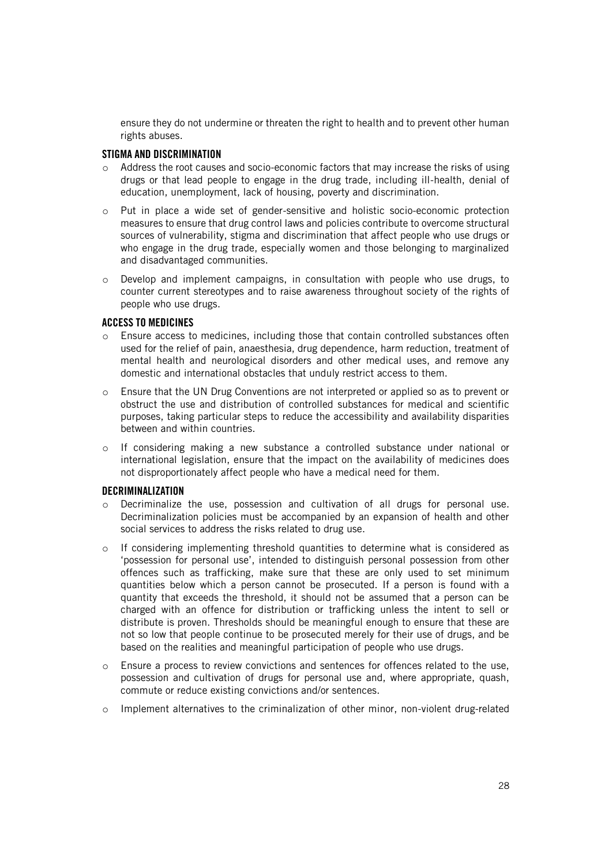ensure they do not undermine or threaten the right to health and to prevent other human rights abuses.

### <span id="page-27-0"></span>STIGMA AND DISCRIMINATION

- o Address the root causes and socio-economic factors that may increase the risks of using drugs or that lead people to engage in the drug trade, including ill-health, denial of education, unemployment, lack of housing, poverty and discrimination.
- o Put in place a wide set of gender-sensitive and holistic socio-economic protection measures to ensure that drug control laws and policies contribute to overcome structural sources of vulnerability, stigma and discrimination that affect people who use drugs or who engage in the drug trade, especially women and those belonging to marginalized and disadvantaged communities.
- $\circ$  Develop and implement campaigns, in consultation with people who use drugs, to counter current stereotypes and to raise awareness throughout society of the rights of people who use drugs.

### <span id="page-27-1"></span>ACCESS TO MEDICINES

- o Ensure access to medicines, including those that contain controlled substances often used for the relief of pain, anaesthesia, drug dependence, harm reduction, treatment of mental health and neurological disorders and other medical uses, and remove any domestic and international obstacles that unduly restrict access to them.
- o Ensure that the UN Drug Conventions are not interpreted or applied so as to prevent or obstruct the use and distribution of controlled substances for medical and scientific purposes, taking particular steps to reduce the accessibility and availability disparities between and within countries.
- o If considering making a new substance a controlled substance under national or international legislation, ensure that the impact on the availability of medicines does not disproportionately affect people who have a medical need for them.

#### <span id="page-27-2"></span>DECRIMINALIZATION

- o Decriminalize the use, possession and cultivation of all drugs for personal use. Decriminalization policies must be accompanied by an expansion of health and other social services to address the risks related to drug use.
- $\circ$  If considering implementing threshold quantities to determine what is considered as 'possession for personal use', intended to distinguish personal possession from other offences such as trafficking, make sure that these are only used to set minimum quantities below which a person cannot be prosecuted. If a person is found with a quantity that exceeds the threshold, it should not be assumed that a person can be charged with an offence for distribution or trafficking unless the intent to sell or distribute is proven. Thresholds should be meaningful enough to ensure that these are not so low that people continue to be prosecuted merely for their use of drugs, and be based on the realities and meaningful participation of people who use drugs.
- o Ensure a process to review convictions and sentences for offences related to the use, possession and cultivation of drugs for personal use and, where appropriate, quash, commute or reduce existing convictions and/or sentences.
- $\circ$  Implement alternatives to the criminalization of other minor, non-violent drug-related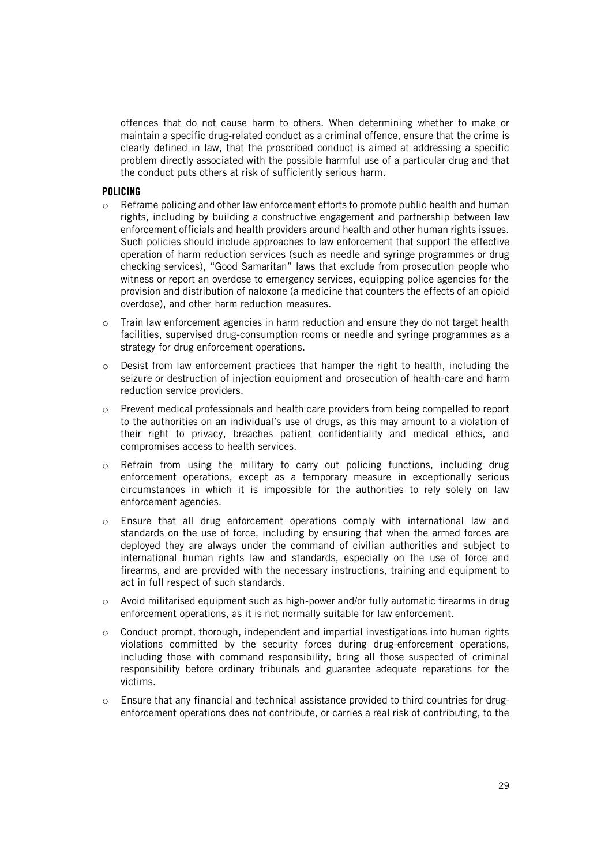offences that do not cause harm to others. When determining whether to make or maintain a specific drug-related conduct as a criminal offence, ensure that the crime is clearly defined in law, that the proscribed conduct is aimed at addressing a specific problem directly associated with the possible harmful use of a particular drug and that the conduct puts others at risk of sufficiently serious harm.

#### <span id="page-28-0"></span>POLICING

- $\circ$  Reframe policing and other law enforcement efforts to promote public health and human rights, including by building a constructive engagement and partnership between law enforcement officials and health providers around health and other human rights issues. Such policies should include approaches to law enforcement that support the effective operation of harm reduction services (such as needle and syringe programmes or drug checking services), "Good Samaritan" laws that exclude from prosecution people who witness or report an overdose to emergency services, equipping police agencies for the provision and distribution of naloxone (a medicine that counters the effects of an opioid overdose), and other harm reduction measures.
- o Train law enforcement agencies in harm reduction and ensure they do not target health facilities, supervised drug-consumption rooms or needle and syringe programmes as a strategy for drug enforcement operations.
- $\circ$  Desist from law enforcement practices that hamper the right to health, including the seizure or destruction of injection equipment and prosecution of health-care and harm reduction service providers.
- o Prevent medical professionals and health care providers from being compelled to report to the authorities on an individual's use of drugs, as this may amount to a violation of their right to privacy, breaches patient confidentiality and medical ethics, and compromises access to health services.
- $\circ$  Refrain from using the military to carry out policing functions, including drug enforcement operations, except as a temporary measure in exceptionally serious circumstances in which it is impossible for the authorities to rely solely on law enforcement agencies.
- o Ensure that all drug enforcement operations comply with international law and standards on the use of force, including by ensuring that when the armed forces are deployed they are always under the command of civilian authorities and subject to international human rights law and standards, especially on the use of force and firearms, and are provided with the necessary instructions, training and equipment to act in full respect of such standards.
- o Avoid militarised equipment such as high-power and/or fully automatic firearms in drug enforcement operations, as it is not normally suitable for law enforcement.
- $\circ$  Conduct prompt, thorough, independent and impartial investigations into human rights violations committed by the security forces during drug-enforcement operations, including those with command responsibility, bring all those suspected of criminal responsibility before ordinary tribunals and guarantee adequate reparations for the victims.
- o Ensure that any financial and technical assistance provided to third countries for drugenforcement operations does not contribute, or carries a real risk of contributing, to the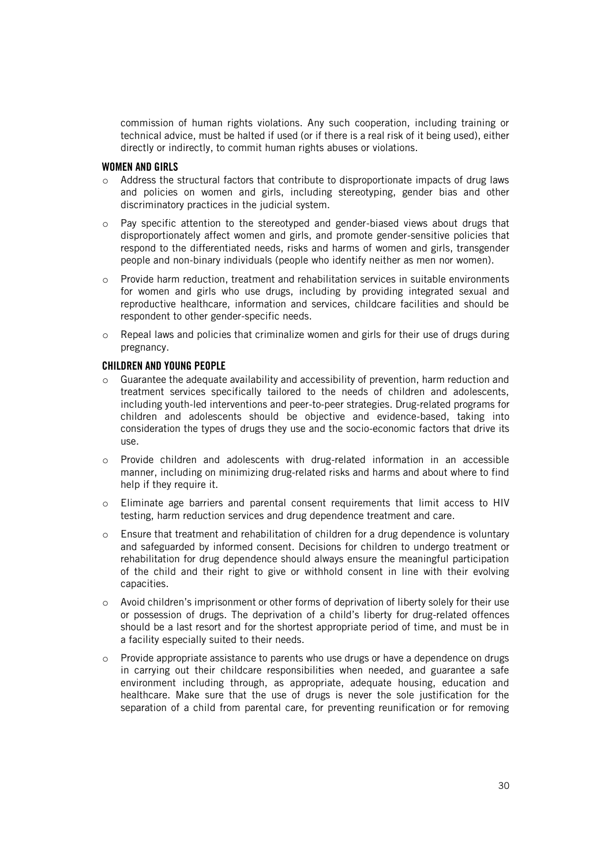commission of human rights violations. Any such cooperation, including training or technical advice, must be halted if used (or if there is a real risk of it being used), either directly or indirectly, to commit human rights abuses or violations.

#### <span id="page-29-0"></span>WOMEN AND GIRLS

- o Address the structural factors that contribute to disproportionate impacts of drug laws and policies on women and girls, including stereotyping, gender bias and other discriminatory practices in the judicial system.
- $\circ$  Pay specific attention to the stereotyped and gender-biased views about drugs that disproportionately affect women and girls, and promote gender-sensitive policies that respond to the differentiated needs, risks and harms of women and girls, transgender people and non-binary individuals (people who identify neither as men nor women).
- o Provide harm reduction, treatment and rehabilitation services in suitable environments for women and girls who use drugs, including by providing integrated sexual and reproductive healthcare, information and services, childcare facilities and should be respondent to other gender-specific needs.
- $\circ$  Repeal laws and policies that criminalize women and girls for their use of drugs during pregnancy.

#### <span id="page-29-1"></span>CHILDREN AND YOUNG PEOPLE

- Guarantee the adequate availability and accessibility of prevention, harm reduction and treatment services specifically tailored to the needs of children and adolescents, including youth-led interventions and peer-to-peer strategies. Drug-related programs for children and adolescents should be objective and evidence-based, taking into consideration the types of drugs they use and the socio-economic factors that drive its use.
- o Provide children and adolescents with drug-related information in an accessible manner, including on minimizing drug-related risks and harms and about where to find help if they require it.
- o Eliminate age barriers and parental consent requirements that limit access to HIV testing, harm reduction services and drug dependence treatment and care.
- o Ensure that treatment and rehabilitation of children for a drug dependence is voluntary and safeguarded by informed consent. Decisions for children to undergo treatment or rehabilitation for drug dependence should always ensure the meaningful participation of the child and their right to give or withhold consent in line with their evolving capacities.
- $\circ$  Avoid children's imprisonment or other forms of deprivation of liberty solely for their use or possession of drugs. The deprivation of a child's liberty for drug-related offences should be a last resort and for the shortest appropriate period of time, and must be in a facility especially suited to their needs.
- $\circ$  Provide appropriate assistance to parents who use drugs or have a dependence on drugs in carrying out their childcare responsibilities when needed, and guarantee a safe environment including through, as appropriate, adequate housing, education and healthcare. Make sure that the use of drugs is never the sole justification for the separation of a child from parental care, for preventing reunification or for removing